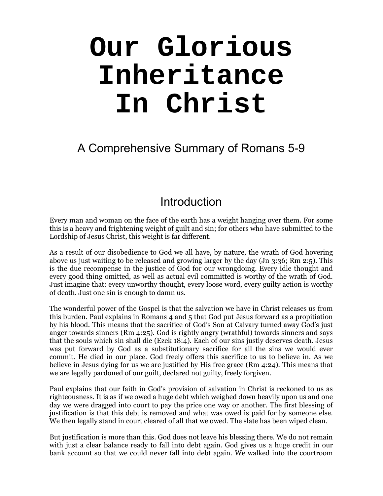# **Our Glorious Inheritance In Christ**

A Comprehensive Summary of Romans 5-9

# Introduction

Every man and woman on the face of the earth has a weight hanging over them. For some this is a heavy and frightening weight of guilt and sin; for others who have submitted to the Lordship of Jesus Christ, this weight is far different.

As a result of our disobedience to God we all have, by nature, the wrath of God hovering above us just waiting to be released and growing larger by the day (Jn 3:36; Rm 2:5). This is the due recompense in the justice of God for our wrongdoing. Every idle thought and every good thing omitted, as well as actual evil committed is worthy of the wrath of God. Just imagine that: every unworthy thought, every loose word, every guilty action is worthy of death. Just one sin is enough to damn us.

The wonderful power of the Gospel is that the salvation we have in Christ releases us from this burden. Paul explains in Romans 4 and 5 that God put Jesus forward as a propitiation by his blood. This means that the sacrifice of God's Son at Calvary turned away God's just anger towards sinners (Rm 4:25). God is rightly angry (wrathful) towards sinners and says that the souls which sin shall die (Ezek 18:4). Each of our sins justly deserves death. Jesus was put forward by God as a substitutionary sacrifice for all the sins we would ever commit. He died in our place. God freely offers this sacrifice to us to believe in. As we believe in Jesus dying for us we are justified by His free grace (Rm 4:24). This means that we are legally pardoned of our guilt, declared not guilty, freely forgiven.

Paul explains that our faith in God's provision of salvation in Christ is reckoned to us as righteousness. It is as if we owed a huge debt which weighed down heavily upon us and one day we were dragged into court to pay the price one way or another. The first blessing of justification is that this debt is removed and what was owed is paid for by someone else. We then legally stand in court cleared of all that we owed. The slate has been wiped clean.

But justification is more than this. God does not leave his blessing there. We do not remain with just a clear balance ready to fall into debt again. God gives us a huge credit in our bank account so that we could never fall into debt again. We walked into the courtroom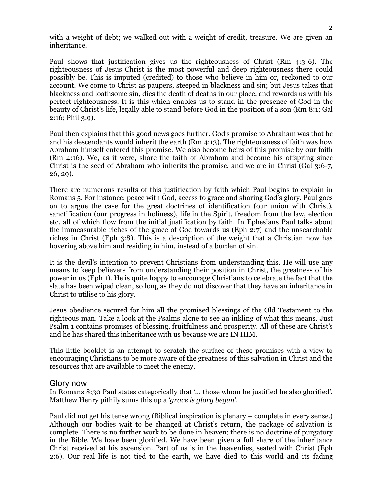with a weight of debt; we walked out with a weight of credit, treasure. We are given an inheritance.

Paul shows that justification gives us the righteousness of Christ (Rm 4:3-6). The righteousness of Jesus Christ is the most powerful and deep righteousness there could possibly be. This is imputed (credited) to those who believe in him or, reckoned to our account. We come to Christ as paupers, steeped in blackness and sin; but Jesus takes that blackness and loathsome sin, dies the death of deaths in our place, and rewards us with his perfect righteousness. It is this which enables us to stand in the presence of God in the beauty of Christ's life, legally able to stand before God in the position of a son (Rm 8:1; Gal 2:16; Phil 3:9).

Paul then explains that this good news goes further. God's promise to Abraham was that he and his descendants would inherit the earth (Rm 4:13). The righteousness of faith was how Abraham himself entered this promise. We also become heirs of this promise by our faith (Rm 4:16). We, as it were, share the faith of Abraham and become his offspring since Christ is the seed of Abraham who inherits the promise, and we are in Christ (Gal 3:6-7, 26, 29).

There are numerous results of this justification by faith which Paul begins to explain in Romans 5. For instance: peace with God, access to grace and sharing God's glory. Paul goes on to argue the case for the great doctrines of identification (our union with Christ), sanctification (our progress in holiness), life in the Spirit, freedom from the law, election etc. all of which flow from the initial justification by faith. In Ephesians Paul talks about the immeasurable riches of the grace of God towards us (Eph 2:7) and the unsearchable riches in Christ (Eph 3:8). This is a description of the weight that a Christian now has hovering above him and residing in him, instead of a burden of sin.

It is the devil's intention to prevent Christians from understanding this. He will use any means to keep believers from understanding their position in Christ, the greatness of his power in us (Eph 1). He is quite happy to encourage Christians to celebrate the fact that the slate has been wiped clean, so long as they do not discover that they have an inheritance in Christ to utilise to his glory.

Jesus obedience secured for him all the promised blessings of the Old Testament to the righteous man. Take a look at the Psalms alone to see an inkling of what this means. Just Psalm 1 contains promises of blessing, fruitfulness and prosperity. All of these are Christ's and he has shared this inheritance with us because we are IN HIM.

This little booklet is an attempt to scratch the surface of these promises with a view to encouraging Christians to be more aware of the greatness of this salvation in Christ and the resources that are available to meet the enemy.

#### Glory now

In Romans 8:30 Paul states categorically that '… those whom he justified he also glorified'. Matthew Henry pithily sums this up a *'grace is glory begun'.*

Paul did not get his tense wrong (Biblical inspiration is plenary – complete in every sense.) Although our bodies wait to be changed at Christ's return, the package of salvation is complete. There is no further work to be done in heaven; there is no doctrine of purgatory in the Bible. We have been glorified. We have been given a full share of the inheritance Christ received at his ascension. Part of us is in the heavenlies, seated with Christ (Eph 2:6). Our real life is not tied to the earth, we have died to this world and its fading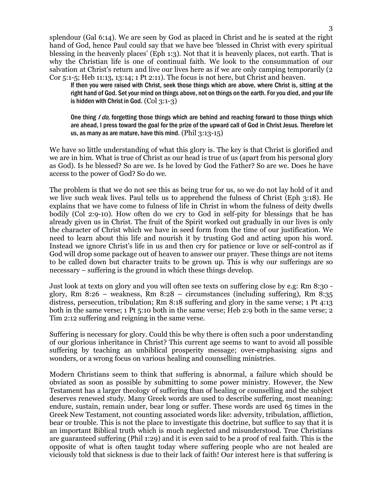splendour (Gal 6:14). We are seen by God as placed in Christ and he is seated at the right hand of God, hence Paul could say that we have bee 'blessed in Christ with every spiritual blessing in the heavenly places' (Eph 1:3). Not that it is heavenly places, not earth. That is why the Christian life is one of continual faith. We look to the consummation of our salvation at Christ's return and live our lives here as if we are only camping temporarily (2) Cor 5:1-5; Heb 11:13, 13:14; 1 Pt 2:11). The focus is not here, but Christ and heaven.

If then you were raised with Christ, seek those things which are above, where Christ is, sitting at the right hand of God. Set your mind on things above, not on things on the earth. For you died, and your life is hidden with Christ in God. (Col 3:1-3)

One thing I do, forgetting those things which are behind and reaching forward to those things which are ahead, I press toward the goal for the prize of the upward call of God in Christ Jesus. Therefore let us, as many as are mature, have this mind.  $(Phi 3:13-15)$ 

We have so little understanding of what this glory is. The key is that Christ is glorified and we are in him. What is true of Christ as our head is true of us (apart from his personal glory as God). Is he blessed? So are we. Is he loved by God the Father? So are we. Does he have access to the power of God? So do we.

The problem is that we do not see this as being true for us, so we do not lay hold of it and we live such weak lives. Paul tells us to apprehend the fulness of Christ (Eph 3:18). He explains that we have come to fulness of life in Christ in whom the fulness of deity dwells bodily (Col 2:9-10). How often do we cry to God in self-pity for blessings that he has already given us in Christ. The fruit of the Spirit worked out gradually in our lives is only the character of Christ which we have in seed form from the time of our justification. We need to learn about this life and nourish it by trusting God and acting upon his word. Instead we ignore Christ's life in us and then cry for patience or love or self-control as if God will drop some package out of heaven to answer our prayer. These things are not items to be called down but character traits to be grown up. This is why our sufferings are so necessary – suffering is the ground in which these things develop.

Just look at texts on glory and you will often see texts on suffering close by e.g: Rm 8:30 glory, Rm 8:26 – weakness, Rm 8:28 – circumstances (including suffering), Rm 8:35 distress, persecution, tribulation; Rm 8:18 suffering and glory in the same verse; 1 Pt 4:13 both in the same verse; 1 Pt 5:10 both in the same verse; Heb 2:9 both in the same verse; 2 Tim 2:12 suffering and reigning in the same verse.

Suffering is necessary for glory. Could this be why there is often such a poor understanding of our glorious inheritance in Christ? This current age seems to want to avoid all possible suffering by teaching an unbiblical prosperity message; over-emphasising signs and wonders, or a wrong focus on various healing and counselling ministries.

Modern Christians seem to think that suffering is abnormal, a failure which should be obviated as soon as possible by submitting to some power ministry. However, the New Testament has a larger theology of suffering than of healing or counselling and the subject deserves renewed study. Many Greek words are used to describe suffering, most meaning: endure, sustain, remain under, bear long or suffer. These words are used 65 times in the Greek New Testament, not counting associated words like: adversity, tribulation, affliction, bear or trouble. This is not the place to investigate this doctrine, but suffice to say that it is an important Biblical truth which is much neglected and misunderstood. True Christians are guaranteed suffering (Phil 1:29) and it is even said to be a proof of real faith. This is the opposite of what is often taught today where suffering people who are not healed are viciously told that sickness is due to their lack of faith! Our interest here is that suffering is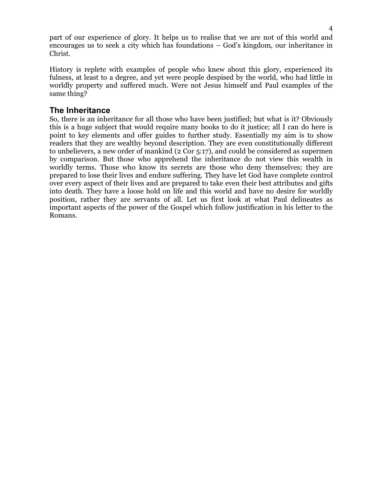part of our experience of glory. It helps us to realise that we are not of this world and encourages us to seek a city which has foundations – God's kingdom, our inheritance in Christ.

History is replete with examples of people who knew about this glory, experienced its fulness, at least to a degree, and yet were people despised by the world, who had little in worldly property and suffered much. Were not Jesus himself and Paul examples of the same thing?

## **The Inheritance**

So, there is an inheritance for all those who have been justified; but what is it? Obviously this is a huge subject that would require many books to do it justice; all I can do here is point to key elements and offer guides to further study. Essentially my aim is to show readers that they are wealthy beyond description. They are even constitutionally different to unbelievers, a new order of mankind (2 Cor 5:17), and could be considered as supermen by comparison. But those who apprehend the inheritance do not view this wealth in worldly terms. Those who know its secrets are those who deny themselves; they are prepared to lose their lives and endure suffering. They have let God have complete control over every aspect of their lives and are prepared to take even their best attributes and gifts into death. They have a loose hold on life and this world and have no desire for worldly position, rather they are servants of all. Let us first look at what Paul delineates as important aspects of the power of the Gospel which follow justification in his letter to the Romans.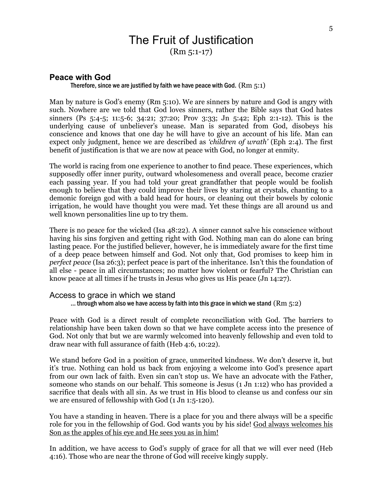## The Fruit of Justification (Rm 5:1-17)

## **Peace with God**

#### Therefore, since we are justified by faith we have peace with God.  $(Rm 5:1)$

Man by nature is God's enemy (Rm 5:10). We are sinners by nature and God is angry with such. Nowhere are we told that God loves sinners, rather the Bible says that God hates sinners (Ps 5:4-5; 11:5-6; 34:21; 37:20; Prov 3:33; Jn 5:42; Eph 2:1-12). This is the underlying cause of unbeliever's unease. Man is separated from God, disobeys his conscience and knows that one day he will have to give an account of his life. Man can expect only judgment, hence we are described as *'children of wrath'* (Eph 2:4). The first benefit of justification is that we are now at peace with God, no longer at enmity.

The world is racing from one experience to another to find peace. These experiences, which supposedly offer inner purity, outward wholesomeness and overall peace, become crazier each passing year. If you had told your great grandfather that people would be foolish enough to believe that they could improve their lives by staring at crystals, chanting to a demonic foreign god with a bald head for hours, or cleaning out their bowels by colonic irrigation, he would have thought you were mad. Yet these things are all around us and well known personalities line up to try them.

There is no peace for the wicked (Isa 48:22). A sinner cannot salve his conscience without having his sins forgiven and getting right with God. Nothing man can do alone can bring lasting peace. For the justified believer, however, he is immediately aware for the first time of a deep peace between himself and God. Not only that, God promises to keep him in *perfect peace* (Isa 26:3); perfect peace is part of the inheritance. Isn't this the foundation of all else - peace in all circumstances; no matter how violent or fearful? The Christian can know peace at all times if he trusts in Jesus who gives us His peace (Jn 14:27).

#### Access to grace in which we stand

```
... through whom also we have access by faith into this grace in which we stand (Rm 5:2)
```
Peace with God is a direct result of complete reconciliation with God. The barriers to relationship have been taken down so that we have complete access into the presence of God. Not only that but we are warmly welcomed into heavenly fellowship and even told to draw near with full assurance of faith (Heb 4:6, 10:22).

We stand before God in a position of grace, unmerited kindness. We don't deserve it, but it's true. Nothing can hold us back from enjoying a welcome into God's presence apart from our own lack of faith. Even sin can't stop us. We have an advocate with the Father, someone who stands on our behalf. This someone is Jesus (1 Jn 1:12) who has provided a sacrifice that deals with all sin. As we trust in His blood to cleanse us and confess our sin we are ensured of fellowship with God (1 Jn 1:5-120).

You have a standing in heaven. There is a place for you and there always will be a specific role for you in the fellowship of God. God wants you by his side! God always welcomes his Son as the apples of his eye and He sees you as in him!

In addition, we have access to God's supply of grace for all that we will ever need (Heb 4:16). Those who are near the throne of God will receive kingly supply.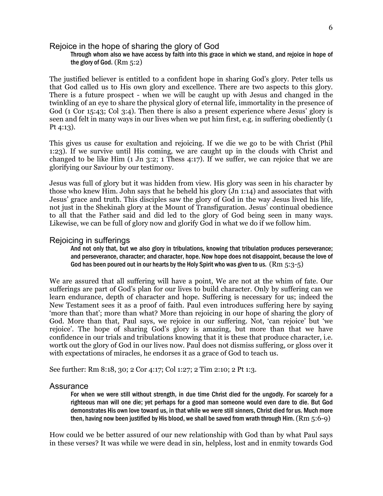#### Rejoice in the hope of sharing the glory of God

#### Through whom also we have access by faith into this grace in which we stand, and rejoice in hope of the glory of God. (Rm 5:2)

The justified believer is entitled to a confident hope in sharing God's glory. Peter tells us that God called us to His own glory and excellence. There are two aspects to this glory. There is a future prospect - when we will be caught up with Jesus and changed in the twinkling of an eye to share the physical glory of eternal life, immortality in the presence of God (1 Cor 15:43; Col 3:4). Then there is also a present experience where Jesus' glory is seen and felt in many ways in our lives when we put him first, e.g. in suffering obediently (1 Pt 4:13).

This gives us cause for exultation and rejoicing. If we die we go to be with Christ (Phil 1:23). If we survive until His coming, we are caught up in the clouds with Christ and changed to be like Him (1 Jn 3:2; 1 Thess 4:17). If we suffer, we can rejoice that we are glorifying our Saviour by our testimony.

Jesus was full of glory but it was hidden from view. His glory was seen in his character by those who knew Him. John says that he beheld his glory (Jn 1:14) and associates that with Jesus' grace and truth. This disciples saw the glory of God in the way Jesus lived his life, not just in the Shekinah glory at the Mount of Transfiguration. Jesus' continual obedience to all that the Father said and did led to the glory of God being seen in many ways. Likewise, we can be full of glory now and glorify God in what we do if we follow him.

#### Rejoicing in sufferings

And not only that, but we also glory in tribulations, knowing that tribulation produces perseverance; and perseverance, character; and character, hope. Now hope does not disappoint, because the love of God has been poured out in our hearts by the Holy Spirit who was given to us.  $(Rm 5:3-5)$ 

We are assured that all suffering will have a point, We are not at the whim of fate. Our sufferings are part of God's plan for our lives to build character. Only by suffering can we learn endurance, depth of character and hope. Suffering is necessary for us; indeed the New Testament sees it as a proof of faith. Paul even introduces suffering here by saying 'more than that'; more than what? More than rejoicing in our hope of sharing the glory of God. More than that, Paul says, we rejoice in our suffering. Not, 'can rejoice' but 'we rejoice'. The hope of sharing God's glory is amazing, but more than that we have confidence in our trials and tribulations knowing that it is these that produce character, i.e. wortk out the glory of God in our lives now. Paul does not dismiss suffering, or gloss over it with expectations of miracles, he endorses it as a grace of God to teach us.

See further: Rm 8:18, 30; 2 Cor 4:17; Col 1:27; 2 Tim 2:10; 2 Pt 1:3.

#### **Assurance**

For when we were still without strength, in due time Christ died for the ungodly. For scarcely for a righteous man will one die; yet perhaps for a good man someone would even dare to die. But God demonstrates His own love toward us, in that while we were still sinners, Christ died for us. Much more then, having now been justified by His blood, we shall be saved from wrath through Him.  $(Rm 5:6-9)$ 

How could we be better assured of our new relationship with God than by what Paul says in these verses? It was while we were dead in sin, helpless, lost and in enmity towards God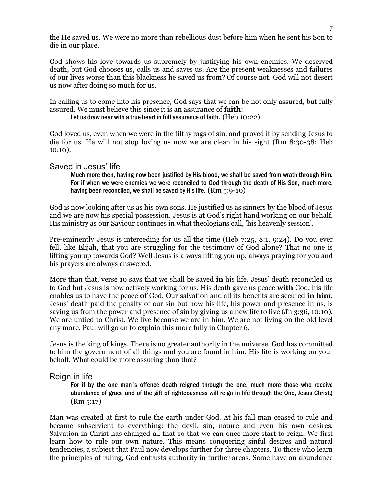the He saved us. We were no more than rebellious dust before him when he sent his Son to die in our place.

God shows his love towards us supremely by justifying his own enemies. We deserved death, but God chooses us, calls us and saves us. Are the present weaknesses and failures of our lives worse than this blackness he saved us from? Of course not. God will not desert us now after doing so much for us.

In calling us to come into his presence, God says that we can be not only assured, but fully assured. We must believe this since it is an assurance of **faith**:

Let us draw near with a true heart in full assurance of faith. (Heb 10:22)

God loved us, even when we were in the filthy rags of sin, and proved it by sending Jesus to die for us. He will not stop loving us now we are clean in his sight (Rm 8:30-38; Heb 10:10).

#### Saved in Jesus' life

Much more then, having now been justified by His blood, we shall be saved from wrath through Him. For if when we were enemies we were reconciled to God through the death of His Son, much more, having been reconciled, we shall be saved by His life. (Rm 5:9-10)

God is now looking after us as his own sons. He justified us as sinners by the blood of Jesus and we are now his special possession. Jesus is at God's right hand working on our behalf. His ministry as our Saviour continues in what theologians call, 'his heavenly session'.

Pre-eminently Jesus is interceding for us all the time (Heb 7:25, 8:1, 9:24). Do you ever fell, like Elijah, that you are struggling for the testimony of God alone? That no one is lifting you up towards God? Well Jesus is always lifting you up, always praying for you and his prayers are always answered.

More than that, verse 10 says that we shall be saved **in** his life. Jesus' death reconciled us to God but Jesus is now actively working for us. His death gave us peace **with** God, his life enables us to have the peace **of** God. Our salvation and all its benefits are secured **in him**. Jesus' death paid the penalty of our sin but now his life, his power and presence in us, is saving us from the power and presence of sin by giving us a new life to live (Jn 3:36, 10:10). We are untied to Christ. We live because we are in him. We are not living on the old level any more. Paul will go on to explain this more fully in Chapter 6.

Jesus is the king of kings. There is no greater authority in the universe. God has committed to him the government of all things and you are found in him. His life is working on your behalf. What could be more assuring than that?

### Reign in life

For if by the one man's offence death reigned through the one, much more those who receive abundance of grace and of the gift of righteousness will reign in life through the One, Jesus Christ.) (Rm 5:17)

Man was created at first to rule the earth under God. At his fall man ceased to rule and became subservient to everything: the devil, sin, nature and even his own desires. Salvation in Christ has changed all that so that we can once more start to reign. We first learn how to rule our own nature. This means conquering sinful desires and natural tendencies, a subject that Paul now develops further for three chapters. To those who learn the principles of ruling, God entrusts authority in further areas. Some have an abundance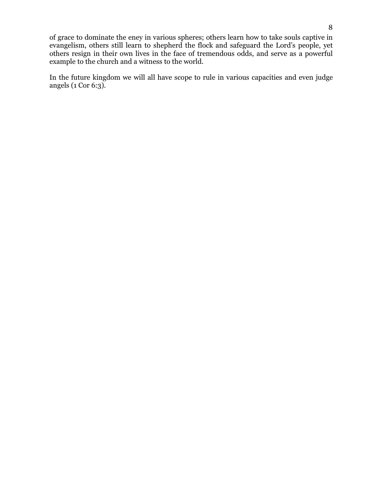of grace to dominate the eney in various spheres; others learn how to take souls captive in evangelism, others still learn to shepherd the flock and safeguard the Lord's people, yet others resign in their own lives in the face of tremendous odds, and serve as a powerful example to the church and a witness to the world.

In the future kingdom we will all have scope to rule in various capacities and even judge angels (1 Cor 6:3).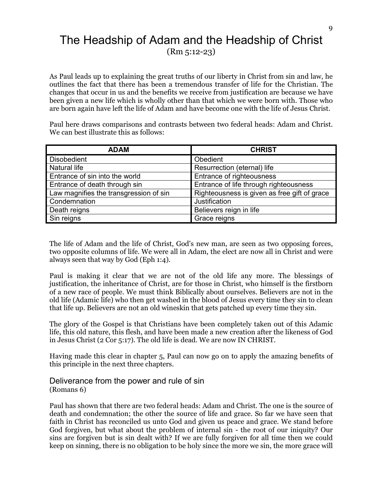# The Headship of Adam and the Headship of Christ (Rm 5:12-23)

As Paul leads up to explaining the great truths of our liberty in Christ from sin and law, he outlines the fact that there has been a tremendous transfer of life for the Christian. The changes that occur in us and the benefits we receive from justification are because we have been given a new life which is wholly other than that which we were born with. Those who are born again have left the life of Adam and have become one with the life of Jesus Christ.

Paul here draws comparisons and contrasts between two federal heads: Adam and Christ. We can best illustrate this as follows:

| <b>ADAM</b>                            | <b>CHRIST</b>                                |
|----------------------------------------|----------------------------------------------|
| <b>Disobedient</b>                     | Obedient                                     |
| Natural life                           | Resurrection (eternal) life                  |
| Entrance of sin into the world         | Entrance of righteousness                    |
| Entrance of death through sin          | Entrance of life through righteousness       |
| Law magnifies the transgression of sin | Righteousness is given as free gift of grace |
| Condemnation                           | Justification                                |
| Death reigns                           | Believers reign in life                      |
| Sin reigns                             | Grace reigns                                 |

The life of Adam and the life of Christ, God's new man, are seen as two opposing forces, two opposite columns of life. We were all in Adam, the elect are now all in Christ and were always seen that way by God (Eph 1:4).

Paul is making it clear that we are not of the old life any more. The blessings of justification, the inheritance of Christ, are for those in Christ, who himself is the firstborn of a new race of people. We must think Biblically about ourselves. Believers are not in the old life (Adamic life) who then get washed in the blood of Jesus every time they sin to clean that life up. Believers are not an old wineskin that gets patched up every time they sin.

The glory of the Gospel is that Christians have been completely taken out of this Adamic life, this old nature, this flesh, and have been made a new creation after the likeness of God in Jesus Christ (2 Cor 5:17). The old life is dead. We are now IN CHRIST.

Having made this clear in chapter 5, Paul can now go on to apply the amazing benefits of this principle in the next three chapters.

Deliverance from the power and rule of sin (Romans 6)

Paul has shown that there are two federal heads: Adam and Christ. The one is the source of death and condemnation; the other the source of life and grace. So far we have seen that faith in Christ has reconciled us unto God and given us peace and grace. We stand before God forgiven, but what about the problem of internal sin - the root of our iniquity? Our sins are forgiven but is sin dealt with? If we are fully forgiven for all time then we could keep on sinning, there is no obligation to be holy since the more we sin, the more grace will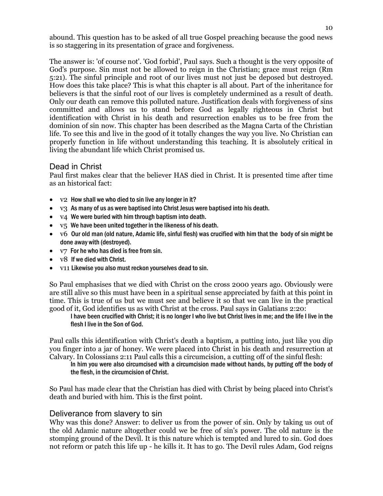abound. This question has to be asked of all true Gospel preaching because the good news is so staggering in its presentation of grace and forgiveness.

The answer is: 'of course not'. 'God forbid', Paul says. Such a thought is the very opposite of God's purpose. Sin must not be allowed to reign in the Christian; grace must reign (Rm 5:21). The sinful principle and root of our lives must not just be deposed but destroyed. How does this take place? This is what this chapter is all about. Part of the inheritance for believers is that the sinful root of our lives is completely undermined as a result of death. Only our death can remove this polluted nature. Justification deals with forgiveness of sins committed and allows us to stand before God as legally righteous in Christ but identification with Christ in his death and resurrection enables us to be free from the dominion of sin now. This chapter has been described as the Magna Carta of the Christian life. To see this and live in the good of it totally changes the way you live. No Christian can properly function in life without understanding this teaching. It is absolutely critical in living the abundant life which Christ promised us.

## Dead in Christ

Paul first makes clear that the believer HAS died in Christ. It is presented time after time as an historical fact:

- $v2$  How shall we who died to sin live any longer in it?
- v3 As many of us as were baptised into Christ Jesus were baptised into his death.
- v4 We were buried with him through baptism into death.
- $v_5$  We have been united together in the likeness of his death.
- v6 Our old man (old nature, Adamic life, sinful flesh) was crucified with him that the body of sin might be done away with (destroyed).
- $v7$  For he who has died is free from sin.
- v8 If we died with Christ.
- v11 Likewise you also must reckon yourselves dead to sin.

So Paul emphasises that we died with Christ on the cross 2000 years ago. Obviously were are still alive so this must have been in a spiritual sense appreciated by faith at this point in time. This is true of us but we must see and believe it so that we can live in the practical good of it, God identifies us as with Christ at the cross. Paul says in Galatians 2:20:

I have been crucified with Christ; it is no longer I who live but Christ lives in me; and the life I live in the flesh I live in the Son of God.

Paul calls this identification with Christ's death a baptism, a putting into, just like you dip you finger into a jar of honey. We were placed into Christ in his death and resurrection at Calvary. In Colossians 2:11 Paul calls this a circumcision, a cutting off of the sinful flesh:

In him you were also circumcised with a circumcision made without hands, by putting off the body of the flesh, in the circumcision of Christ.

So Paul has made clear that the Christian has died with Christ by being placed into Christ's death and buried with him. This is the first point.

### Deliverance from slavery to sin

Why was this done? Answer: to deliver us from the power of sin. Only by taking us out of the old Adamic nature altogether could we be free of sin's power. The old nature is the stomping ground of the Devil. It is this nature which is tempted and lured to sin. God does not reform or patch this life up - he kills it. It has to go. The Devil rules Adam, God reigns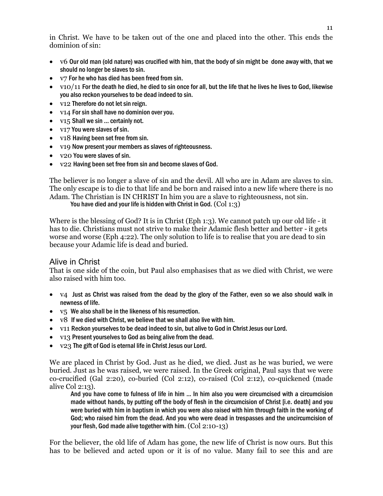in Christ. We have to be taken out of the one and placed into the other. This ends the dominion of sin:

- v6 Our old man (old nature) was crucified with him, that the body of sin might be done away with, that we should no longer be slaves to sin.
- $v7$  For he who has died has been freed from sin.
- $\bullet$  v10/11 For the death he died, he died to sin once for all, but the life that he lives he lives to God, likewise you also reckon yourselves to be dead indeed to sin.
- v12 Therefore do not let sin reign.
- v14 For sin shall have no dominion over you.
- v15 Shall we sin ... certainly not.
- v17 You were slaves of sin.
- v18 Having been set free from sin.
- v19 Now present your members as slaves of righteousness.
- v20 You were slaves of sin.
- v22 Having been set free from sin and become slaves of God.

The believer is no longer a slave of sin and the devil. All who are in Adam are slaves to sin. The only escape is to die to that life and be born and raised into a new life where there is no Adam. The Christian is IN CHRIST In him you are a slave to righteousness, not sin.

You have died and your life is hidden with Christ in God. (Col 1:3)

Where is the blessing of God? It is in Christ (Eph 1:3). We cannot patch up our old life - it has to die. Christians must not strive to make their Adamic flesh better and better - it gets worse and worse (Eph 4:22). The only solution to life is to realise that you are dead to sin because your Adamic life is dead and buried.

### Alive in Christ

That is one side of the coin, but Paul also emphasises that as we died with Christ, we were also raised with him too.

- v4 Just as Christ was raised from the dead by the glory of the Father, even so we also should walk in newness of life.
- $\bullet$  v<sub>5</sub> We also shall be in the likeness of his resurrection.
- $\bullet$  v8 If we died with Christ, we believe that we shall also live with him.
- v11 Reckon yourselves to be dead indeed to sin, but alive to God in Christ Jesus our Lord.
- v13 Present yourselves to God as being alive from the dead.
- v23 The gift of God is eternal life in Christ Jesus our Lord.

We are placed in Christ by God. Just as he died, we died. Just as he was buried, we were buried. Just as he was raised, we were raised. In the Greek original, Paul says that we were co-crucified (Gal 2:20), co-buried (Col 2:12), co-raised (Col 2:12), co-quickened (made alive Col 2:13).

And you have come to fulness of life in him ... In him also you were circumcised with a circumcision made without hands, by putting off the body of flesh in the circumcision of Christ [i.e. death] and you were buried with him in baptism in which you were also raised with him through faith in the working of God; who raised him from the dead. And you who were dead in trespasses and the uncircumcision of your flesh, God made alive together with him. (Col 2:10-13)

For the believer, the old life of Adam has gone, the new life of Christ is now ours. But this has to be believed and acted upon or it is of no value. Many fail to see this and are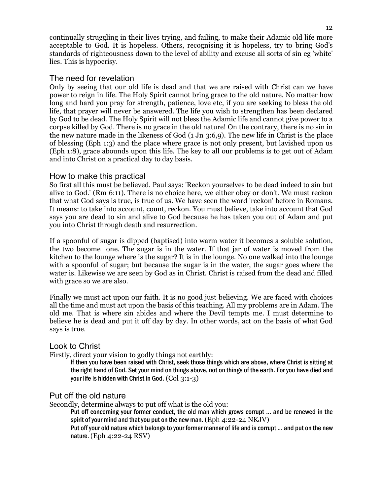continually struggling in their lives trying, and failing, to make their Adamic old life more acceptable to God. It is hopeless. Others, recognising it is hopeless, try to bring God's standards of righteousness down to the level of ability and excuse all sorts of sin eg 'white' lies. This is hypocrisy.

## The need for revelation

Only by seeing that our old life is dead and that we are raised with Christ can we have power to reign in life. The Holy Spirit cannot bring grace to the old nature. No matter how long and hard you pray for strength, patience, love etc, if you are seeking to bless the old life, that prayer will never be answered. The life you wish to strengthen has been declared by God to be dead. The Holy Spirit will not bless the Adamic life and cannot give power to a corpse killed by God. There is no grace in the old nature! On the contrary, there is no sin in the new nature made in the likeness of God (1 Jn 3:6,9). The new life in Christ is the place of blessing (Eph 1:3) and the place where grace is not only present, but lavished upon us (Eph 1:8), grace abounds upon this life. The key to all our problems is to get out of Adam and into Christ on a practical day to day basis.

## How to make this practical

So first all this must be believed. Paul says: 'Reckon yourselves to be dead indeed to sin but alive to God.' (Rm 6:11). There is no choice here, we either obey or don't. We must reckon that what God says is true, is true of us. We have seen the word 'reckon' before in Romans. It means: to take into account, count, reckon. You must believe, take into account that God says you are dead to sin and alive to God because he has taken you out of Adam and put you into Christ through death and resurrection.

If a spoonful of sugar is dipped (baptised) into warm water it becomes a soluble solution, the two become one. The sugar is in the water. If that jar of water is moved from the kitchen to the lounge where is the sugar? It is in the lounge. No one walked into the lounge with a spoonful of sugar; but because the sugar is in the water, the sugar goes where the water is. Likewise we are seen by God as in Christ. Christ is raised from the dead and filled with grace so we are also.

Finally we must act upon our faith. It is no good just believing. We are faced with choices all the time and must act upon the basis of this teaching. All my problems are in Adam. The old me. That is where sin abides and where the Devil tempts me. I must determine to believe he is dead and put it off day by day. In other words, act on the basis of what God says is true.

## Look to Christ

Firstly, direct your vision to godly things not earthly:

If then you have been raised with Christ, seek those things which are above, where Christ is sitting at the right hand of God. Set your mind on things above, not on things of the earth. For you have died and your life is hidden with Christ in God. (Col 3:1-3)

## Put off the old nature

Secondly, determine always to put off what is the old you:

Put off concerning your former conduct, the old man which grows corrupt ... and be renewed in the spirit of your mind and that you put on the new man. (Eph  $4:22-24$  NKJV)

Put off your old nature which belongs to your former manner of life and is corrupt ... and put on the new nature. (Eph 4:22-24 RSV)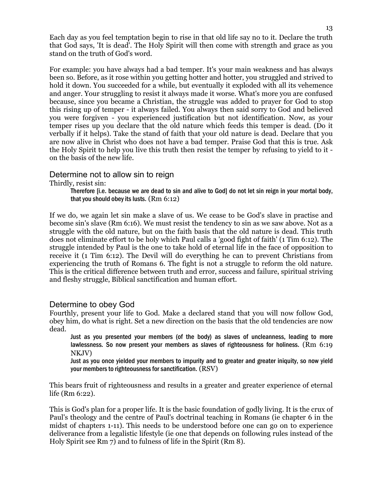Each day as you feel temptation begin to rise in that old life say no to it. Declare the truth that God says, 'It is dead'. The Holy Spirit will then come with strength and grace as you stand on the truth of God's word.

For example: you have always had a bad temper. It's your main weakness and has always been so. Before, as it rose within you getting hotter and hotter, you struggled and strived to hold it down. You succeeded for a while, but eventually it exploded with all its vehemence and anger. Your struggling to resist it always made it worse. What's more you are confused because, since you became a Christian, the struggle was added to prayer for God to stop this rising up of temper - it always failed. You always then said sorry to God and believed you were forgiven - you experienced justification but not identification. Now, as your temper rises up you declare that the old nature which feeds this temper is dead. (Do it verbally if it helps). Take the stand of faith that your old nature is dead. Declare that you are now alive in Christ who does not have a bad temper. Praise God that this is true. Ask the Holy Spirit to help you live this truth then resist the temper by refusing to yield to it on the basis of the new life.

## Determine not to allow sin to reign

Thirdly, resist sin:

Therefore [i.e. because we are dead to sin and alive to God] do not let sin reign in your mortal body, that you should obey its lusts. (Rm 6:12)

If we do, we again let sin make a slave of us. We cease to be God's slave in practise and become sin's slave (Rm 6:16). We must resist the tendency to sin as we saw above. Not as a struggle with the old nature, but on the faith basis that the old nature is dead. This truth does not eliminate effort to be holy which Paul calls a 'good fight of faith' (1 Tim 6:12). The struggle intended by Paul is the one to take hold of eternal life in the face of opposition to receive it (1 Tim 6:12). The Devil will do everything he can to prevent Christians from experiencing the truth of Romans 6. The fight is not a struggle to reform the old nature. This is the critical difference between truth and error, success and failure, spiritual striving and fleshy struggle, Biblical sanctification and human effort.

## Determine to obey God

Fourthly, present your life to God. Make a declared stand that you will now follow God, obey him, do what is right. Set a new direction on the basis that the old tendencies are now dead.

Just as you presented your members (of the body) as slaves of uncleanness, leading to more lawlessness. So now present your members as slaves of righteousness for holiness. (Rm 6:19 NKJV)

Just as you once yielded your members to impurity and to greater and greater iniquity, so now yield your members to righteousness for sanctification. (RSV)

This bears fruit of righteousness and results in a greater and greater experience of eternal life (Rm 6:22).

This is God's plan for a proper life. It is the basic foundation of godly living. It is the crux of Paul's theology and the centre of Paul's doctrinal teaching in Romans (ie chapter 6 in the midst of chapters 1-11). This needs to be understood before one can go on to experience deliverance from a legalistic lifestyle (ie one that depends on following rules instead of the Holy Spirit see Rm 7) and to fulness of life in the Spirit (Rm 8).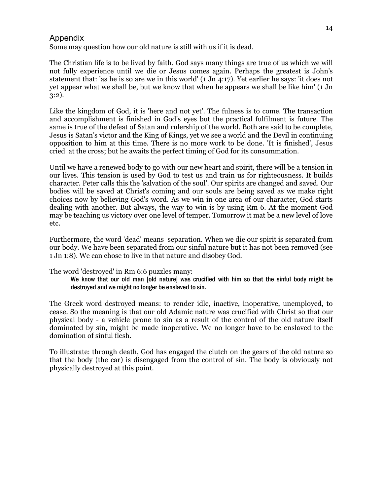## Appendix

Some may question how our old nature is still with us if it is dead.

The Christian life is to be lived by faith. God says many things are true of us which we will not fully experience until we die or Jesus comes again. Perhaps the greatest is John's statement that: 'as he is so are we in this world' (1 Jn 4:17). Yet earlier he says: 'it does not yet appear what we shall be, but we know that when he appears we shall be like him' (1 Jn 3:2).

Like the kingdom of God, it is 'here and not yet'. The fulness is to come. The transaction and accomplishment is finished in God's eyes but the practical fulfilment is future. The same is true of the defeat of Satan and rulership of the world. Both are said to be complete, Jesus is Satan's victor and the King of Kings, yet we see a world and the Devil in continuing opposition to him at this time. There is no more work to be done. 'It is finished', Jesus cried at the cross; but he awaits the perfect timing of God for its consummation.

Until we have a renewed body to go with our new heart and spirit, there will be a tension in our lives. This tension is used by God to test us and train us for righteousness. It builds character. Peter calls this the 'salvation of the soul'. Our spirits are changed and saved. Our bodies will be saved at Christ's coming and our souls are being saved as we make right choices now by believing God's word. As we win in one area of our character, God starts dealing with another. But always, the way to win is by using Rm 6. At the moment God may be teaching us victory over one level of temper. Tomorrow it mat be a new level of love etc.

Furthermore, the word 'dead' means separation. When we die our spirit is separated from our body. We have been separated from our sinful nature but it has not been removed (see 1 Jn 1:8). We can chose to live in that nature and disobey God.

The word 'destroyed' in Rm 6:6 puzzles many:

We know that our old man [old nature] was crucified with him so that the sinful body might be destroyed and we might no longer be enslaved to sin.

The Greek word destroyed means: to render idle, inactive, inoperative, unemployed, to cease. So the meaning is that our old Adamic nature was crucified with Christ so that our physical body - a vehicle prone to sin as a result of the control of the old nature itself dominated by sin, might be made inoperative. We no longer have to be enslaved to the domination of sinful flesh.

To illustrate: through death, God has engaged the clutch on the gears of the old nature so that the body (the car) is disengaged from the control of sin. The body is obviously not physically destroyed at this point.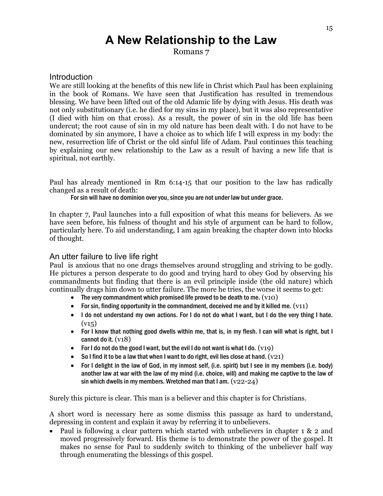# **A New Relationship to the Law**

Romans 7

## Introduction

We are still looking at the benefits of this new life in Christ which Paul has been explaining in the book of Romans. We have seen that Justification has resulted in tremendous blessing. We have been lifted out of the old Adamic life by dying with Jesus. His death was not only substitutionary (i.e. he died for my sins in my place), but it was also representative (I died with him on that cross). As a result, the power of sin in the old life has been undercut; the root cause of sin in my old nature has been dealt with. I do not have to be dominated by sin anymore, I have a choice as to which life I will express in my body: the new, resurrection life of Christ or the old sinful life of Adam. Paul continues this teaching by explaining our new relationship to the Law as a result of having a new life that is spiritual, not earthly.

Paul has already mentioned in Rm 6:14-15 that our position to the law has radically changed as a result of death:

For sin will have no dominion over you, since you are not under law but under grace.

In chapter 7, Paul launches into a full exposition of what this means for believers. As we have seen before, his fulness of thought and his style of argument can be hard to follow, particularly here. To aid understanding, I am again breaking the chapter down into blocks of thought.

## An utter failure to live life right

Paul is anxious that no one drags themselves around struggling and striving to be godly. He pictures a person desperate to do good and trying hard to obey God by observing his commandments but finding that there is an evil principle inside (the old nature) which continually drags him down to utter failure. The more he tries, the worse it seems to get:

- The very commandment which promised life proved to be death to me.  $(v10)$
- For sin, finding opportunity in the commandment, deceived me and by it killed me.  $(v11)$
- I do not understand my own actions. For I do not do what I want, but I do the very thing I hate.  $(v15)$
- For I know that nothing good dwells within me, that is, in my flesh. I can will what is right, but I cannot do it. (v18)
- For I do not do the good I want, but the evil I do not want is what I do.  $(v19)$
- So I find it to be a law that when I want to do right, evil lies close at hand.  $(v21)$
- For I delight in the law of God, in my inmost self, (i.e. spirit) but I see in my members (i.e. body) another law at war with the law of my mind (i.e. choice, will) and making me captive to the law of sin which dwells in my members. Wretched man that I am.  $(v22-24)$

Surely this picture is clear. This man is a believer and this chapter is for Christians.

A short word is necessary here as some dismiss this passage as hard to understand, depressing in content and explain it away by referring it to unbelievers.

• Paul is following a clear pattern which started with unbelievers in chapter 1 & 2 and moved progressively forward. His theme is to demonstrate the power of the gospel. It makes no sense for Paul to suddenly switch to thinking of the unbeliever half way through enumerating the blessings of this gospel.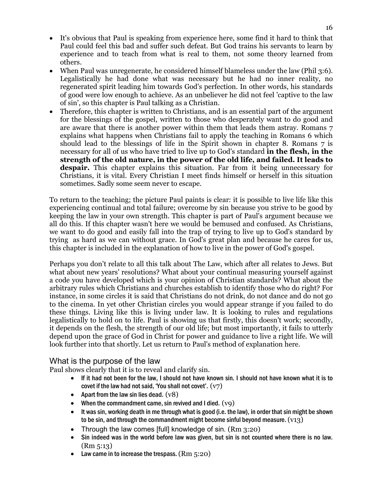- It's obvious that Paul is speaking from experience here, some find it hard to think that Paul could feel this bad and suffer such defeat. But God trains his servants to learn by experience and to teach from what is real to them, not some theory learned from others.
- When Paul was unregenerate, he considered himself blameless under the law (Phil 3:6). Legalistically he had done what was necessary but he had no inner reality, no regenerated spirit leading him towards God's perfection. In other words, his standards of good were low enough to achieve. As an unbeliever he did not feel 'captive to the law of sin', so this chapter is Paul talking as a Christian.
- Therefore, this chapter is written to Christians, and is an essential part of the argument for the blessings of the gospel, written to those who desperately want to do good and are aware that there is another power within them that leads them astray. Romans 7 explains what happens when Christians fail to apply the teaching in Romans 6 which should lead to the blessings of life in the Spirit shown in chapter 8. Romans 7 is necessary for all of us who have tried to live up to God's standard **in the flesh, in the strength of the old nature, in the power of the old life, and failed. It leads to despair.** This chapter explains this situation. Far from it being unnecessary for Christians, it is vital. Every Christian I meet finds himself or herself in this situation sometimes. Sadly some seem never to escape.

To return to the teaching; the picture Paul paints is clear: it is possible to live life like this experiencing continual and total failure; overcome by sin because you strive to be good by keeping the law in your own strength. This chapter is part of Paul's argument because we all do this. If this chapter wasn't here we would be bemused and confused. As Christians, we want to do good and easily fall into the trap of trying to live up to God's standard by trying as hard as we can without grace. In God's great plan and because he cares for us, this chapter is included in the explanation of how to live in the power of God's gospel.

Perhaps you don't relate to all this talk about The Law, which after all relates to Jews. But what about new years' resolutions? What about your continual measuring yourself against a code you have developed which is your opinion of Christian standards? What about the arbitrary rules which Christians and churches establish to identify those who do right? For instance, in some circles it is said that Christians do not drink, do not dance and do not go to the cinema. In yet other Christian circles you would appear strange if you failed to do these things. Living like this is living under law. It is looking to rules and regulations legalistically to hold on to life. Paul is showing us that firstly, this doesn't work; secondly, it depends on the flesh, the strength of our old life; but most importantly, it fails to utterly depend upon the grace of God in Christ for power and guidance to live a right life. We will look further into that shortly. Let us return to Paul's method of explanation here.

## What is the purpose of the law

Paul shows clearly that it is to reveal and clarify sin.

- If it had not been for the law, I should not have known sin. I should not have known what it is to covet if the law had not said, 'You shall not covet'.  $(v7)$
- Apart from the law sin lies dead.  $(v8)$
- When the commandment came, sin revived and I died.  $(vq)$
- It was sin, working death in me through what is good (i.e. the law), in order that sin might be shown to be sin, and through the commandment might become sinful beyond measure.  $(v13)$
- Through the law comes [full] knowledge of sin. (Rm 3:20)
- Sin indeed was in the world before law was given, but sin is not counted where there is no law. (Rm 5:13)
- Law came in to increase the trespass.  $(Rm 5:20)$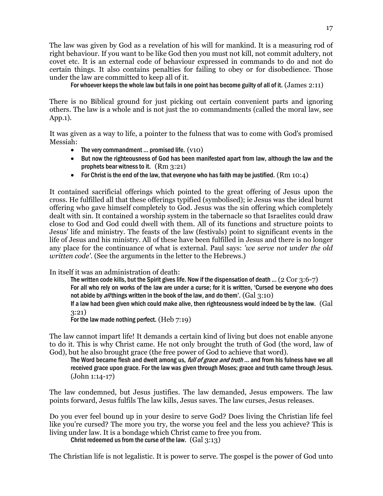The law was given by God as a revelation of his will for mankind. It is a measuring rod of right behaviour. If you want to be like God then you must not kill, not commit adultery, not covet etc. It is an external code of behaviour expressed in commands to do and not do certain things. It also contains penalties for failing to obey or for disobedience. Those under the law are committed to keep all of it.

For whoever keeps the whole law but fails in one point has become guilty of all of it. (James 2:11)

There is no Biblical ground for just picking out certain convenient parts and ignoring others. The law is a whole and is not just the 10 commandments (called the moral law, see App.1).

It was given as a way to life, a pointer to the fulness that was to come with God's promised Messiah:

- The very commandment ... promised life.  $(v10)$
- But now the righteousness of God has been manifested apart from law, although the law and the prophets bear witness to it. (Rm 3:21)
- For Christ is the end of the law, that everyone who has faith may be justified.  $(Rm 10:4)$

It contained sacrificial offerings which pointed to the great offering of Jesus upon the cross. He fulfilled all that these offerings typified (symbolised); ie Jesus was the ideal burnt offering who gave himself completely to God. Jesus was the sin offering which completely dealt with sin. It contained a worship system in the tabernacle so that Israelites could draw close to God and God could dwell with them. All of its functions and structure points to Jesus' life and ministry. The feasts of the law (festivals) point to significant events in the life of Jesus and his ministry. All of these have been fulfilled in Jesus and there is no longer any place for the continuance of what is external. Paul says: *'we serve not under the old written code'*. (See the arguments in the letter to the Hebrews.)

In itself it was an administration of death:

The written code kills, but the Spirit gives life. Now if the dispensation of death ... (2 Cor  $3:6-7$ ) For all who rely on works of the law are under a curse; for it is written, 'Cursed be everyone who does not abide by *all* things written in the book of the law, and do them'.  $(Gal 3:10)$ If a law had been given which could make alive, then righteousness would indeed be by the law.(Gal

3:21)

For the law made nothing perfect. (Heb 7:19)

The law cannot impart life! It demands a certain kind of living but does not enable anyone to do it. This is why Christ came. He not only brought the truth of God (the word, law of God), but he also brought grace (the free power of God to achieve that word).

The Word became flesh and dwelt among us, full of grace and truth ... and from his fulness have we all received grace upon grace. For the law was given through Moses; grace and truth came through Jesus. (John 1:14-17)

The law condemned, but Jesus justifies. The law demanded, Jesus empowers. The law points forward, Jesus fulfils The law kills, Jesus saves. The law curses, Jesus releases.

Do you ever feel bound up in your desire to serve God? Does living the Christian life feel like you're cursed? The more you try, the worse you feel and the less you achieve? This is living under law. It is a bondage which Christ came to free you from.

Christ redeemed us from the curse of the law. (Gal 3:13)

The Christian life is not legalistic. It is power to serve. The gospel is the power of God unto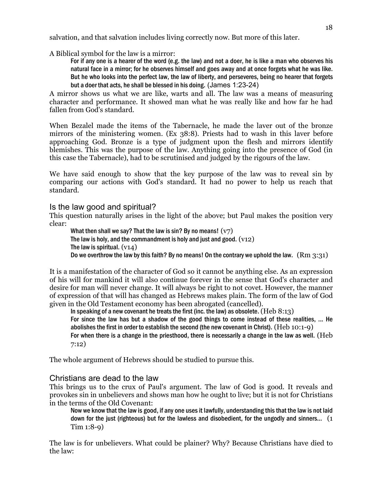salvation, and that salvation includes living correctly now. But more of this later.

A Biblical symbol for the law is a mirror:

For if any one is a hearer of the word (e.g. the law) and not a doer, he is like a man who observes his natural face in a mirror; for he observes himself and goes away and at once forgets what he was like. But he who looks into the perfect law, the law of liberty, and perseveres, being no hearer that forgets but a doer that acts, he shall be blessed in his doing. (James 1:23-24)

A mirror shows us what we are like, warts and all. The law was a means of measuring character and performance. It showed man what he was really like and how far he had fallen from God's standard.

When Bezalel made the items of the Tabernacle, he made the laver out of the bronze mirrors of the ministering women. (Ex 38:8). Priests had to wash in this laver before approaching God. Bronze is a type of judgment upon the flesh and mirrors identify blemishes. This was the purpose of the law. Anything going into the presence of God (in this case the Tabernacle), had to be scrutinised and judged by the rigours of the law.

We have said enough to show that the key purpose of the law was to reveal sin by comparing our actions with God's standard. It had no power to help us reach that standard.

### Is the law good and spiritual?

This question naturally arises in the light of the above; but Paul makes the position very clear:

What then shall we say? That the law is sin? By no means!  $(v7)$ The law is holy, and the commandment is holy and just and good.  $(v12)$ The law is spiritual.  $(v14)$ Do we overthrow the law by this faith? By no means! On the contrary we uphold the law.  $(Rm 3:31)$ 

It is a manifestation of the character of God so it cannot be anything else. As an expression of his will for mankind it will also continue forever in the sense that God's character and desire for man will never change. It will always be right to not covet. However, the manner of expression of that will has changed as Hebrews makes plain. The form of the law of God given in the Old Testament economy has been abrogated (cancelled).

In speaking of a new covenant he treats the first (inc. the law) as obsolete.  $(Heb 8:13)$ 

For since the law has but a shadow of the good things to come instead of these realities, ... He abolishes the first in order to establish the second (the new covenant in Christ). (Heb 10:1-9)

For when there is a change in the priesthood, there is necessarily a change in the law as well. (Heb 7:12)

The whole argument of Hebrews should be studied to pursue this.

### Christians are dead to the law

This brings us to the crux of Paul's argument. The law of God is good. It reveals and provokes sin in unbelievers and shows man how he ought to live; but it is not for Christians in the terms of the Old Covenant:

Now we know that the law is good, if any one uses it lawfully, understanding this that the law is not laid down for the just (righteous) but for the lawless and disobedient, for the ungodly and sinners...(1 Tim 1:8-9)

The law is for unbelievers. What could be plainer? Why? Because Christians have died to the law: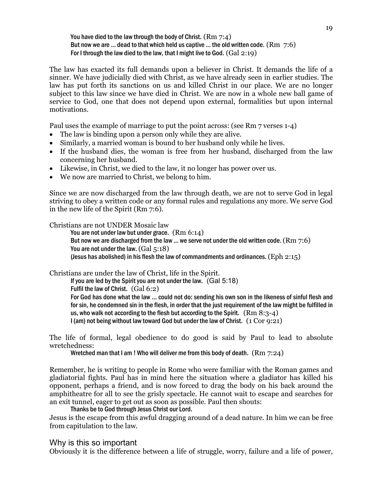#### You have died to the law through the body of Christ.  $(Rm 7:4)$ But now we are ... dead to that which held us captive ... the old written code.  $(Rm 7:6)$ For I through the law died to the law, that I might live to God. (Gal 2:19)

The law has exacted its full demands upon a believer in Christ. It demands the life of a sinner. We have judicially died with Christ, as we have already seen in earlier studies. The law has put forth its sanctions on us and killed Christ in our place. We are no longer subject to this law since we have died in Christ. We are now in a whole new ball game of service to God, one that does not depend upon external, formalities but upon internal motivations.

Paul uses the example of marriage to put the point across: (see Rm 7 verses 1-4)

- The law is binding upon a person only while they are alive.
- Similarly, a married woman is bound to her husband only while he lives.
- If the husband dies, the woman is free from her husband, discharged from the law concerning her husband.
- Likewise, in Christ, we died to the law, it no longer has power over us.
- We now are married to Christ, we belong to him.

Since we are now discharged from the law through death, we are not to serve God in legal striving to obey a written code or any formal rules and regulations any more. We serve God in the new life of the Spirit (Rm 7:6).

Christians are not UNDER Mosaic law

You are not under law but under grace. (Rm 6:14) But now we are discharged from the law ... we serve not under the old written code.  $(Rm 7:6)$ You are not under the law. (Gal 5:18) (Jesus has abolished) in his flesh the law of commandments and ordinances.  $(\text{Eph } 2:15)$ 

Christians are under the law of Christ, life in the Spirit.

If you are led by the Spirit you are not under the law. (Gal 5:18) Fulfil the law of Christ.(Gal 6:2) For God has done what the law ... could not do: sending his own son in the likeness of sinful flesh and for sin, he condemned sin in the flesh, in order that the just requirement of the law might be fulfilled in us, who walk not according to the flesh but according to the Spirit.  $(Rm 8:3-4)$ I (am) not being without law toward God but under the law of Christ.(1 Cor 9:21)

The life of formal, legal obedience to do good is said by Paul to lead to absolute wretchedness:

Wretched man that I am ! Who will deliver me from this body of death. (Rm 7:24)

Remember, he is writing to people in Rome who were familiar with the Roman games and gladiatorial fights. Paul has in mind here the situation where a gladiator has killed his opponent, perhaps a friend, and is now forced to drag the body on his back around the amphitheatre for all to see the grisly spectacle. He cannot wait to escape and searches for an exit tunnel, eager to get out as soon as possible. Paul then shouts:

Thanks be to God through Jesus Christ our Lord.

Jesus is the escape from this awful dragging around of a dead nature. In him we can be free from capitulation to the law.

Why is this so important

Obviously it is the difference between a life of struggle, worry, failure and a life of power,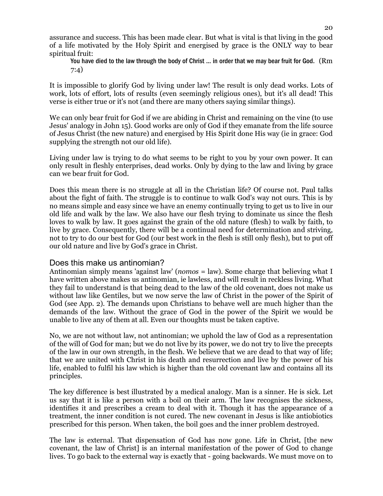assurance and success. This has been made clear. But what is vital is that living in the good of a life motivated by the Holy Spirit and energised by grace is the ONLY way to bear spiritual fruit:

You have died to the law through the body of Christ ... in order that we may bear fruit for God. (Rm 7:4)

It is impossible to glorify God by living under law! The result is only dead works. Lots of work, lots of effort, lots of results (even seemingly religious ones), but it's all dead! This verse is either true or it's not (and there are many others saying similar things).

We can only bear fruit for God if we are abiding in Christ and remaining on the vine (to use Jesus' analogy in John 15). Good works are only of God if they emanate from the life source of Jesus Christ (the new nature) and energised by His Spirit done His way (ie in grace: God supplying the strength not our old life).

Living under law is trying to do what seems to be right to you by your own power. It can only result in fleshly enterprises, dead works. Only by dying to the law and living by grace can we bear fruit for God.

Does this mean there is no struggle at all in the Christian life? Of course not. Paul talks about the fight of faith. The struggle is to continue to walk God's way not ours. This is by no means simple and easy since we have an enemy continually trying to get us to live in our old life and walk by the law. We also have our flesh trying to dominate us since the flesh loves to walk by law. It goes against the grain of the old nature (flesh) to walk by faith, to live by grace. Consequently, there will be a continual need for determination and striving, not to try to do our best for God (our best work in the flesh is still only flesh), but to put off our old nature and live by God's grace in Christ.

#### Does this make us antinomian?

Antinomian simply means 'against law' (*nomos* = law). Some charge that believing what I have written above makes us antinomian, ie lawless, and will result in reckless living. What they fail to understand is that being dead to the law of the old covenant, does not make us without law like Gentiles, but we now serve the law of Christ in the power of the Spirit of God (see App. 2). The demands upon Christians to behave well are much higher than the demands of the law. Without the grace of God in the power of the Spirit we would be unable to live any of them at all. Even our thoughts must be taken captive.

No, we are not without law, not antinomian; we uphold the law of God as a representation of the will of God for man; but we do not live by its power, we do not try to live the precepts of the law in our own strength, in the flesh. We believe that we are dead to that way of life; that we are united with Christ in his death and resurrection and live by the power of his life, enabled to fulfil his law which is higher than the old covenant law and contains all its principles.

The key difference is best illustrated by a medical analogy. Man is a sinner. He is sick. Let us say that it is like a person with a boil on their arm. The law recognises the sickness, identifies it and prescribes a cream to deal with it. Though it has the appearance of a treatment, the inner condition is not cured. The new covenant in Jesus is like antiobiotics prescribed for this person. When taken, the boil goes and the inner problem destroyed.

The law is external. That dispensation of God has now gone. Life in Christ, [the new covenant, the law of Christ] is an internal manifestation of the power of God to change lives. To go back to the external way is exactly that - going backwards. We must move on to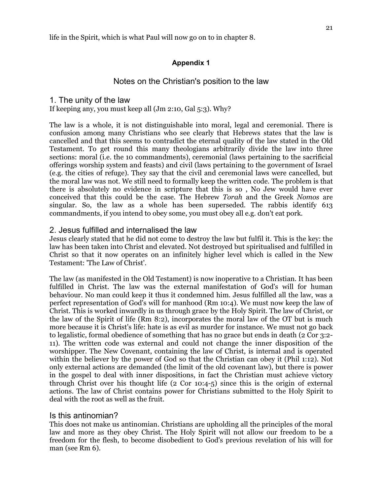life in the Spirit, which is what Paul will now go on to in chapter 8.

#### **Appendix 1**

#### Notes on the Christian's position to the law

#### 1. The unity of the law

If keeping any, you must keep all (Jm 2:10, Gal 5:3). Why?

The law is a whole, it is not distinguishable into moral, legal and ceremonial. There is confusion among many Christians who see clearly that Hebrews states that the law is cancelled and that this seems to contradict the eternal quality of the law stated in the Old Testament. To get round this many theologians arbitrarily divide the law into three sections: moral (i.e. the 10 commandments), ceremonial (laws pertaining to the sacrificial offerings worship system and feasts) and civil (laws pertaining to the government of Israel (e.g. the cities of refuge). They say that the civil and ceremonial laws were cancelled, but the moral law was not. We still need to formally keep the written code. The problem is that there is absolutely no evidence in scripture that this is so , No Jew would have ever conceived that this could be the case. The Hebrew *Torah* and the Greek *Nomos* are singular. So, the law as a whole has been superseded. The rabbis identify 613 commandments, if you intend to obey some, you must obey all e.g. don't eat pork.

### 2. Jesus fulfilled and internalised the law

Jesus clearly stated that he did not come to destroy the law but fulfil it. This is the key: the law has been taken into Christ and elevated. Not destroyed but spiritualised and fulfilled in Christ so that it now operates on an infinitely higher level which is called in the New Testament: 'The Law of Christ'.

The law (as manifested in the Old Testament) is now inoperative to a Christian. It has been fulfilled in Christ. The law was the external manifestation of God's will for human behaviour. No man could keep it thus it condemned him. Jesus fulfilled all the law, was a perfect representation of God's will for manhood (Rm 10:4). We must now keep the law of Christ. This is worked inwardly in us through grace by the Holy Spirit. The law of Christ, or the law of the Spirit of life (Rm 8:2), incorporates the moral law of the OT but is much more because it is Christ's life: hate is as evil as murder for instance. We must not go back to legalistic, formal obedience of something that has no grace but ends in death (2 Cor 3:2- 11). The written code was external and could not change the inner disposition of the worshipper. The New Covenant, containing the law of Christ, is internal and is operated within the believer by the power of God so that the Christian can obey it (Phil 1:12). Not only external actions are demanded (the limit of the old covenant law), but there is power in the gospel to deal with inner dispositions, in fact the Christian must achieve victory through Christ over his thought life (2 Cor 10:4-5) since this is the origin of external actions. The law of Christ contains power for Christians submitted to the Holy Spirit to deal with the root as well as the fruit.

#### Is this antinomian?

This does not make us antinomian. Christians are upholding all the principles of the moral law and more as they obey Christ. The Holy Spirit will not allow our freedom to be a freedom for the flesh, to become disobedient to God's previous revelation of his will for man (see Rm 6).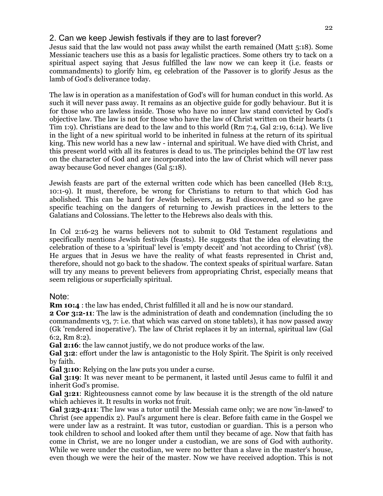## 2. Can we keep Jewish festivals if they are to last forever?

Jesus said that the law would not pass away whilst the earth remained (Matt 5:18). Some Messianic teachers use this as a basis for legalistic practices. Some others try to tack on a spiritual aspect saying that Jesus fulfilled the law now we can keep it (i.e. feasts or commandments) to glorify him, eg celebration of the Passover is to glorify Jesus as the lamb of God's deliverance today.

The law is in operation as a manifestation of God's will for human conduct in this world. As such it will never pass away. It remains as an objective guide for godly behaviour. But it is for those who are lawless inside. Those who have no inner law stand convicted by God's objective law. The law is not for those who have the law of Christ written on their hearts (1 Tim 1:9). Christians are dead to the law and to this world (Rm 7:4, Gal 2:19, 6:14). We live in the light of a new spiritual world to be inherited in fulness at the return of its spiritual king. This new world has a new law - internal and spiritual. We have died with Christ, and this present world with all its features is dead to us. The principles behind the OT law rest on the character of God and are incorporated into the law of Christ which will never pass away because God never changes (Gal 5:18).

Jewish feasts are part of the external written code which has been cancelled (Heb 8:13, 10:1-9). It must, therefore, be wrong for Christians to return to that which God has abolished. This can be hard for Jewish believers, as Paul discovered, and so he gave specific teaching on the dangers of returning to Jewish practices in the letters to the Galatians and Colossians. The letter to the Hebrews also deals with this.

In Col 2:16-23 he warns believers not to submit to Old Testament regulations and specifically mentions Jewish festivals (feasts). He suggests that the idea of elevating the celebration of these to a 'spiritual' level is 'empty deceit' and 'not according to Christ' (v8). He argues that in Jesus we have the reality of what feasts represented in Christ and, therefore, should not go back to the shadow. The context speaks of spiritual warfare. Satan will try any means to prevent believers from appropriating Christ, especially means that seem religious or superficially spiritual.

### Note:

**Rm 10:4** : the law has ended, Christ fulfilled it all and he is now our standard.

**2 Cor 3:2-11**: The law is the administration of death and condemnation (including the 10 commandments v3, 7: i.e. that which was carved on stone tablets), it has now passed away (Gk 'rendered inoperative'). The law of Christ replaces it by an internal, spiritual law (Gal 6:2, Rm 8:2).

**Gal 2:16**: the law cannot justify, we do not produce works of the law.

**Gal 3:2**: effort under the law is antagonistic to the Holy Spirit. The Spirit is only received by faith.

**Gal 3:10**: Relying on the law puts you under a curse.

**Gal 3:19**: It was never meant to be permanent, it lasted until Jesus came to fulfil it and inherit God's promise.

**Gal 3:21**: Righteousness cannot come by law because it is the strength of the old nature which achieves it. It results in works not fruit.

**Gal 3:23-4:11**: The law was a tutor until the Messiah came only; we are now 'in-lawed' to Christ (see appendix 2). Paul's argument here is clear. Before faith came in the Gospel we were under law as a restraint. It was tutor, custodian or guardian. This is a person who took children to school and looked after them until they became of age. Now that faith has come in Christ, we are no longer under a custodian, we are sons of God with authority. While we were under the custodian, we were no better than a slave in the master's house, even though we were the heir of the master. Now we have received adoption. This is not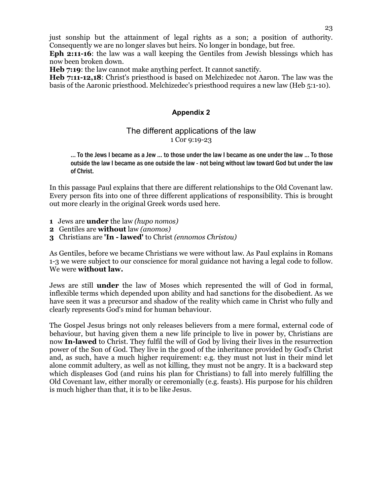just sonship but the attainment of legal rights as a son; a position of authority. Consequently we are no longer slaves but heirs. No longer in bondage, but free.

**Eph 2:11-16**: the law was a wall keeping the Gentiles from Jewish blessings which has now been broken down.

**Heb 7:19**: the law cannot make anything perfect. It cannot sanctify.

**Heb 7:11-12,18**: Christ's priesthood is based on Melchizedec not Aaron. The law was the basis of the Aaronic priesthood. Melchizedec's priesthood requires a new law (Heb 5:1-10).

## **Appendix 2**

## The different applications of the law 1 Cor 9:19-23

... To the Jews I became as a Jew ... to those under the law I became as one under the law ... To those outside the law I became as one outside the law - not being without law toward God but under the law of Christ.

In this passage Paul explains that there are different relationships to the Old Covenant law. Every person fits into one of three different applications of responsibility. This is brought out more clearly in the original Greek words used here.

- **1** Jews are **under** the law *(hupo nomos)*
- **2** Gentiles are **without** law *(anomos)*
- **3** Christians are **'In lawed'** to Christ *(ennomos Christou)*

As Gentiles, before we became Christians we were without law. As Paul explains in Romans 1-3 we were subject to our conscience for moral guidance not having a legal code to follow. We were **without law.** 

Jews are still **under** the law of Moses which represented the will of God in formal, inflexible terms which depended upon ability and had sanctions for the disobedient. As we have seen it was a precursor and shadow of the reality which came in Christ who fully and clearly represents God's mind for human behaviour.

The Gospel Jesus brings not only releases believers from a mere formal, external code of behaviour, but having given them a new life principle to live in power by, Christians are now **In-lawed** to Christ. They fulfil the will of God by living their lives in the resurrection power of the Son of God. They live in the good of the inheritance provided by God's Christ and, as such, have a much higher requirement: e.g. they must not lust in their mind let alone commit adultery, as well as not killing, they must not be angry. It is a backward step which displeases God (and ruins his plan for Christians) to fall into merely fulfilling the Old Covenant law, either morally or ceremonially (e.g. feasts). His purpose for his children is much higher than that, it is to be like Jesus.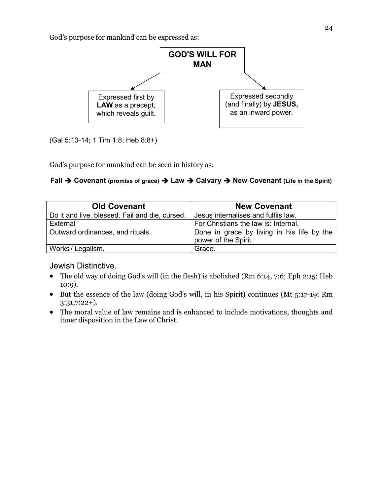God's purpose for mankind can be expressed as:



(Gal 5:13-14; 1 Tim 1:8; Heb 8:8+)

God's purpose for mankind can be seen in history as:

## **Fall Covenant (promise of grace) Law Calvary New Covenant (Life in the Spirit)**

| <b>Old Covenant</b>                            | <b>New Covenant</b>                                                |
|------------------------------------------------|--------------------------------------------------------------------|
| Do it and live, blessed. Fail and die, cursed. | Jesus internalises and fulfils law.                                |
| External                                       | For Christians the law is: Internal.                               |
| Outward ordinances, and rituals.               | Done in grace by living in his life by the<br>power of the Spirit. |
| Works / Legalism.                              | Grace.                                                             |

Jewish Distinctive.

- The old way of doing God's will (in the flesh) is abolished (Rm 6:14, 7:6; Eph 2:15; Heb 10:9).
- But the essence of the law (doing God's will, in his Spirit) continues (Mt 5:17-19; Rm 3:31,7:22+).
- The moral value of law remains and is enhanced to include motivations, thoughts and inner disposition in the Law of Christ.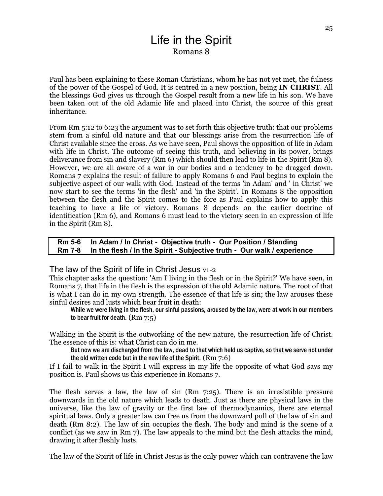# Life in the Spirit Romans 8

Paul has been explaining to these Roman Christians, whom he has not yet met, the fulness of the power of the Gospel of God. It is centred in a new position, being **IN CHRIST**. All the blessings God gives us through the Gospel result from a new life in his son. We have been taken out of the old Adamic life and placed into Christ, the source of this great inheritance.

From Rm 5:12 to 6:23 the argument was to set forth this objective truth: that our problems stem from a sinful old nature and that our blessings arise from the resurrection life of Christ available since the cross. As we have seen, Paul shows the opposition of life in Adam with life in Christ. The outcome of seeing this truth, and believing in its power, brings deliverance from sin and slavery (Rm 6) which should then lead to life in the Spirit (Rm 8). However, we are all aware of a war in our bodies and a tendency to be dragged down. Romans 7 explains the result of failure to apply Romans 6 and Paul begins to explain the subjective aspect of our walk with God. Instead of the terms 'in Adam' and ' in Christ' we now start to see the terms 'in the flesh' and 'in the Spirit'. In Romans 8 the opposition between the flesh and the Spirit comes to the fore as Paul explains how to apply this teaching to have a life of victory. Romans 8 depends on the earlier doctrine of identification (Rm 6), and Romans 6 must lead to the victory seen in an expression of life in the Spirit (Rm 8).

#### **Rm 5-6 In Adam / In Christ - Objective truth - Our Position / Standing Rm 7-8 In the flesh / In the Spirit - Subjective truth - Our walk / experience**

## The law of the Spirit of life in Christ Jesus v1-2

This chapter asks the question: 'Am I living in the flesh or in the Spirit?' We have seen, in Romans 7, that life in the flesh is the expression of the old Adamic nature. The root of that is what I can do in my own strength. The essence of that life is sin; the law arouses these sinful desires and lusts which bear fruit in death:

While we were living in the flesh, our sinful passions, aroused by the law, were at work in our members to bear fruit for death. (Rm 7:5)

Walking in the Spirit is the outworking of the new nature, the resurrection life of Christ. The essence of this is: what Christ can do in me.

But now we are discharged from the law, dead to that which held us captive, so that we serve not under the old written code but in the new life of the Spirit. (Rm 7:6)

If I fail to walk in the Spirit I will express in my life the opposite of what God says my position is. Paul shows us this experience in Romans 7.

The flesh serves a law, the law of sin (Rm 7:25). There is an irresistible pressure downwards in the old nature which leads to death. Just as there are physical laws in the universe, like the law of gravity or the first law of thermodynamics, there are eternal spiritual laws. Only a greater law can free us from the downward pull of the law of sin and death (Rm 8:2). The law of sin occupies the flesh. The body and mind is the scene of a conflict (as we saw in Rm 7). The law appeals to the mind but the flesh attacks the mind, drawing it after fleshly lusts.

The law of the Spirit of life in Christ Jesus is the only power which can contravene the law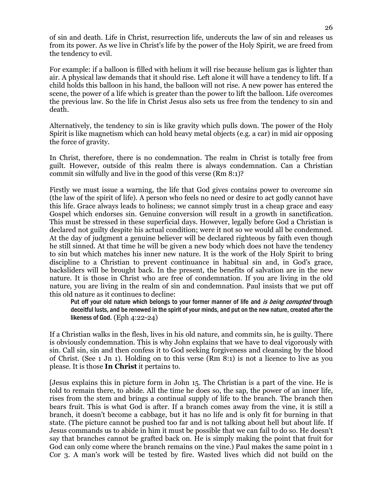of sin and death. Life in Christ, resurrection life, undercuts the law of sin and releases us from its power. As we live in Christ's life by the power of the Holy Spirit, we are freed from the tendency to evil.

For example: if a balloon is filled with helium it will rise because helium gas is lighter than air. A physical law demands that it should rise. Left alone it will have a tendency to lift. If a child holds this balloon in his hand, the balloon will not rise. A new power has entered the scene, the power of a life which is greater than the power to lift the balloon. Life overcomes the previous law. So the life in Christ Jesus also sets us free from the tendency to sin and death.

Alternatively, the tendency to sin is like gravity which pulls down. The power of the Holy Spirit is like magnetism which can hold heavy metal objects (e.g. a car) in mid air opposing the force of gravity.

In Christ, therefore, there is no condemnation. The realm in Christ is totally free from guilt. However, outside of this realm there is always condemnation. Can a Christian commit sin wilfully and live in the good of this verse (Rm 8:1)?

Firstly we must issue a warning, the life that God gives contains power to overcome sin (the law of the spirit of life). A person who feels no need or desire to act godly cannot have this life. Grace always leads to holiness; we cannot simply trust in a cheap grace and easy Gospel which endorses sin. Genuine conversion will result in a growth in sanctification. This must be stressed in these superficial days. However, legally before God a Christian is declared not guilty despite his actual condition; were it not so we would all be condemned. At the day of judgment a genuine believer will be declared righteous by faith even though he still sinned. At that time he will be given a new body which does not have the tendency to sin but which matches his inner new nature. It is the work of the Holy Spirit to bring discipline to a Christian to prevent continuance in habitual sin and, in God's grace, backsliders will be brought back. In the present, the benefits of salvation are in the new nature. It is those in Christ who are free of condemnation. If you are living in the old nature, you are living in the realm of sin and condemnation. Paul insists that we put off this old nature as it continues to decline:

Put off your old nature which belongs to your former manner of life and is being corrupted through deceitful lusts, and be renewed in the spirit of your minds, and put on the new nature, created after the likeness of God. (Eph 4:22-24)

If a Christian walks in the flesh, lives in his old nature, and commits sin, he is guilty. There is obviously condemnation. This is why John explains that we have to deal vigorously with sin. Call sin, sin and then confess it to God seeking forgiveness and cleansing by the blood of Christ. (See 1 Jn 1). Holding on to this verse (Rm 8:1) is not a licence to live as you please. It is those **In Christ** it pertains to.

[Jesus explains this in picture form in John 15. The Christian is a part of the vine. He is told to remain there, to abide. All the time he does so, the sap, the power of an inner life, rises from the stem and brings a continual supply of life to the branch. The branch then bears fruit. This is what God is after. If a branch comes away from the vine, it is still a branch, it doesn't become a cabbage, but it has no life and is only fit for burning in that state. (The picture cannot be pushed too far and is not talking about hell but about life. If Jesus commands us to abide in him it must be possible that we can fail to do so. He doesn't say that branches cannot be grafted back on. He is simply making the point that fruit for God can only come where the branch remains on the vine.) Paul makes the same point in 1 Cor 3. A man's work will be tested by fire. Wasted lives which did not build on the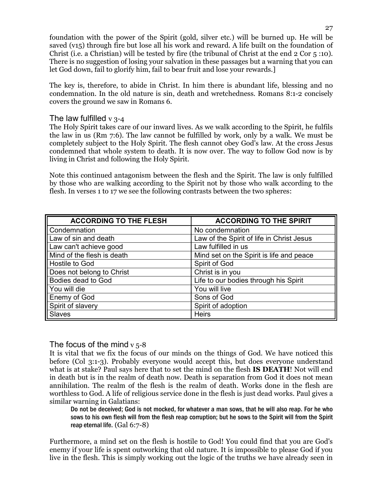foundation with the power of the Spirit (gold, silver etc.) will be burned up. He will be saved (v15) through fire but lose all his work and reward. A life built on the foundation of Christ (i.e. a Christian) will be tested by fire (the tribunal of Christ at the end 2 Cor 5 :10). There is no suggestion of losing your salvation in these passages but a warning that you can let God down, fail to glorify him, fail to bear fruit and lose your rewards.]

The key is, therefore, to abide in Christ. In him there is abundant life, blessing and no condemnation. In the old nature is sin, death and wretchedness. Romans 8:1-2 concisely covers the ground we saw in Romans 6.

### The law fulfilled  $v$  3-4

The Holy Spirit takes care of our inward lives. As we walk according to the Spirit, he fulfils the law in us (Rm 7:6). The law cannot be fulfilled by work, only by a walk. We must be completely subject to the Holy Spirit. The flesh cannot obey God's law. At the cross Jesus condemned that whole system to death. It is now over. The way to follow God now is by living in Christ and following the Holy Spirit.

Note this continued antagonism between the flesh and the Spirit. The law is only fulfilled by those who are walking according to the Spirit not by those who walk according to the flesh. In verses 1 to 17 we see the following contrasts between the two spheres:

| <b>ACCORDING TO THE FLESH</b> | <b>ACCORDING TO THE SPIRIT</b>            |
|-------------------------------|-------------------------------------------|
| Condemnation                  | No condemnation                           |
| Law of sin and death          | Law of the Spirit of life in Christ Jesus |
| Law can't achieve good        | Law fulfilled in us                       |
| Mind of the flesh is death    | Mind set on the Spirit is life and peace  |
| Hostile to God                | Spirit of God                             |
| Does not belong to Christ     | Christ is in you                          |
| Bodies dead to God            | Life to our bodies through his Spirit     |
| You will die                  | You will live                             |
| Enemy of God                  | Sons of God                               |
| Spirit of slavery             | Spirit of adoption                        |
| <b>Slaves</b>                 | <b>Heirs</b>                              |

### The focus of the mind  $v$  5-8

It is vital that we fix the focus of our minds on the things of God. We have noticed this before (Col 3:1-3). Probably everyone would accept this, but does everyone understand what is at stake? Paul says here that to set the mind on the flesh **IS DEATH**! Not will end in death but is in the realm of death now. Death is separation from God it does not mean annihilation. The realm of the flesh is the realm of death. Works done in the flesh are worthless to God. A life of religious service done in the flesh is just dead works. Paul gives a similar warning in Galatians:

Do not be deceived; God is not mocked, for whatever a man sows, that he will also reap. For he who sows to his own flesh will from the flesh reap corruption; but he sows to the Spirit will from the Spirit reap eternal life. (Gal 6:7-8)

Furthermore, a mind set on the flesh is hostile to God! You could find that you are God's enemy if your life is spent outworking that old nature. It is impossible to please God if you live in the flesh. This is simply working out the logic of the truths we have already seen in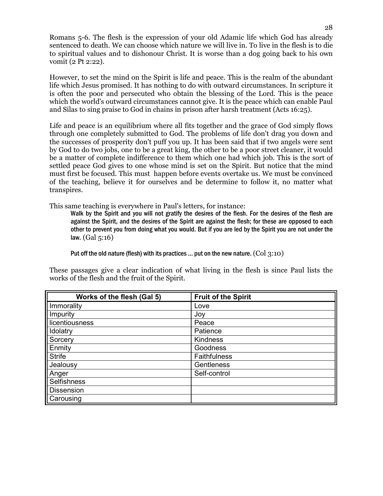Romans 5-6. The flesh is the expression of your old Adamic life which God has already sentenced to death. We can choose which nature we will live in. To live in the flesh is to die to spiritual values and to dishonour Christ. It is worse than a dog going back to his own vomit (2 Pt 2:22).

However, to set the mind on the Spirit is life and peace. This is the realm of the abundant life which Jesus promised. It has nothing to do with outward circumstances. In scripture it is often the poor and persecuted who obtain the blessing of the Lord. This is the peace which the world's outward circumstances cannot give. It is the peace which can enable Paul and Silas to sing praise to God in chains in prison after harsh treatment (Acts 16:25).

Life and peace is an equilibrium where all fits together and the grace of God simply flows through one completely submitted to God. The problems of life don't drag you down and the successes of prosperity don't puff you up. It has been said that if two angels were sent by God to do two jobs, one to be a great king, the other to be a poor street cleaner, it would be a matter of complete indifference to them which one had which job. This is the sort of settled peace God gives to one whose mind is set on the Spirit. But notice that the mind must first be focused. This must happen before events overtake us. We must be convinced of the teaching, believe it for ourselves and be determine to follow it, no matter what transpires.

This same teaching is everywhere in Paul's letters, for instance:

Walk by the Spirit and you will not gratify the desires of the flesh. For the desires of the flesh are against the Spirit, and the desires of the Spirit are against the flesh; for these are opposed to each other to prevent you from doing what you would. But if you are led by the Spirit you are not under the law. (Gal 5:16)

Put off the old nature (flesh) with its practices ... put on the new nature. (Col 3:10)

These passages give a clear indication of what living in the flesh is since Paul lists the works of the flesh and the fruit of the Spirit.

| Works of the flesh (Gal 5) | <b>Fruit of the Spirit</b> |
|----------------------------|----------------------------|
| Immorality                 | Love                       |
| Impurity                   | Joy                        |
| licentiousness             | Peace                      |
| Idolatry                   | Patience                   |
| Sorcery                    | Kindness                   |
| Enmity                     | Goodness                   |
| <b>Strife</b>              | Faithfulness               |
| Jealousy                   | Gentleness                 |
| Anger                      | Self-control               |
| <b>Selfishness</b>         |                            |
| <b>Dissension</b>          |                            |
| Carousing                  |                            |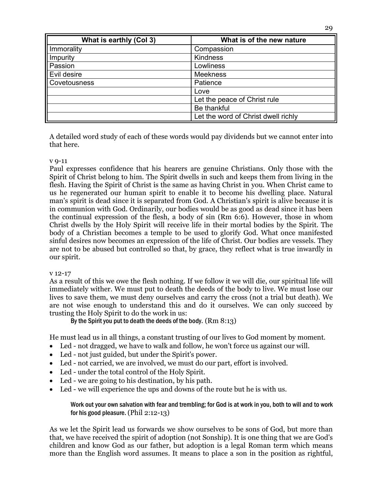| What is earthly (Col 3) | What is of the new nature           |
|-------------------------|-------------------------------------|
| Immorality              | Compassion                          |
| Impurity                | Kindness                            |
| Passion                 | Lowliness                           |
| Evil desire             | <b>Meekness</b>                     |
| Covetousness            | Patience                            |
|                         | Love                                |
|                         | Let the peace of Christ rule        |
|                         | Be thankful                         |
|                         | Let the word of Christ dwell richly |

A detailed word study of each of these words would pay dividends but we cannot enter into that here.

#### v 9-11

Paul expresses confidence that his hearers are genuine Christians. Only those with the Spirit of Christ belong to him. The Spirit dwells in such and keeps them from living in the flesh. Having the Spirit of Christ is the same as having Christ in you. When Christ came to us he regenerated our human spirit to enable it to become his dwelling place. Natural man's spirit is dead since it is separated from God. A Christian's spirit is alive because it is in communion with God. Ordinarily, our bodies would be as good as dead since it has been the continual expression of the flesh, a body of sin (Rm 6:6). However, those in whom Christ dwells by the Holy Spirit will receive life in their mortal bodies by the Spirit. The body of a Christian becomes a temple to be used to glorify God. What once manifested sinful desires now becomes an expression of the life of Christ. Our bodies are vessels. They are not to be abused but controlled so that, by grace, they reflect what is true inwardly in our spirit.

#### v 12-17

As a result of this we owe the flesh nothing. If we follow it we will die, our spiritual life will immediately wither. We must put to death the deeds of the body to live. We must lose our lives to save them, we must deny ourselves and carry the cross (not a trial but death). We are not wise enough to understand this and do it ourselves. We can only succeed by trusting the Holy Spirit to do the work in us:

By the Spirit you put to death the deeds of the body.  $(Rm 8:13)$ 

He must lead us in all things, a constant trusting of our lives to God moment by moment.

- Led not dragged, we have to walk and follow, he won't force us against our will.
- Led not just guided, but under the Spirit's power.
- Led not carried, we are involved, we must do our part, effort is involved.
- Led under the total control of the Holy Spirit.
- Led we are going to his destination, by his path.
- Led we will experience the ups and downs of the route but he is with us.

Work out your own salvation with fear and trembling; for God is at work in you, both to will and to work for his good pleasure. (Phil 2:12-13)

As we let the Spirit lead us forwards we show ourselves to be sons of God, but more than that, we have received the spirit of adoption (not Sonship). It is one thing that we are God's children and know God as our father, but adoption is a legal Roman term which means more than the English word assumes. It means to place a son in the position as rightful,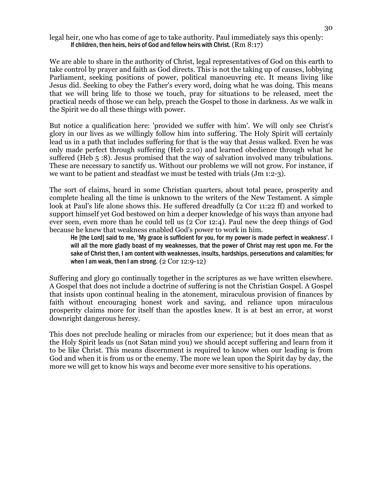#### legal heir, one who has come of age to take authority. Paul immediately says this openly: If children, then heirs, heirs of God and fellow heirs with Christ. (Rm 8:17)

We are able to share in the authority of Christ, legal representatives of God on this earth to take control by prayer and faith as God directs. This is not the taking up of causes, lobbying Parliament, seeking positions of power, political manoeuvring etc. It means living like Jesus did. Seeking to obey the Father's every word, doing what he was doing. This means that we will bring life to those we touch, pray for situations to be released, meet the practical needs of those we can help, preach the Gospel to those in darkness. As we walk in the Spirit we do all these things with power.

But notice a qualification here: 'provided we suffer with him'. We will only see Christ's glory in our lives as we willingly follow him into suffering. The Holy Spirit will certainly lead us in a path that includes suffering for that is the way that Jesus walked. Even he was only made perfect through suffering (Heb 2:10) and learned obedience through what he suffered (Heb 5 :8). Jesus promised that the way of salvation involved many tribulations. These are necessary to sanctify us. Without our problems we will not grow. For instance, if we want to be patient and steadfast we must be tested with trials (Jm 1:2-3).

The sort of claims, heard in some Christian quarters, about total peace, prosperity and complete healing all the time is unknown to the writers of the New Testament. A simple look at Paul's life alone shows this. He suffered dreadfully (2 Cor 11:22 ff) and worked to support himself yet God bestowed on him a deeper knowledge of his ways than anyone had ever seen, even more than he could tell us (2 Cor 12:4). Paul new the deep things of God because he knew that weakness enabled God's power to work in him.

He [the Lord] said to me, 'My grace is sufficient for you, for my power is made perfect in weakness'. I will all the more gladly boast of my weaknesses, that the power of Christ may rest upon me. For the sake of Christ then, I am content with weaknesses, insults, hardships, persecutions and calamities; for when I am weak, then I am strong.  $(2 \text{ Cor } 12:9-12)$ 

Suffering and glory go continually together in the scriptures as we have written elsewhere. A Gospel that does not include a doctrine of suffering is not the Christian Gospel. A Gospel that insists upon continual healing in the atonement, miraculous provision of finances by faith without encouraging honest work and saving, and reliance upon miraculous prosperity claims more for itself than the apostles knew. It is at best an error, at worst downright dangerous heresy.

This does not preclude healing or miracles from our experience; but it does mean that as the Holy Spirit leads us (not Satan mind you) we should accept suffering and learn from it to be like Christ. This means discernment is required to know when our leading is from God and when it is from us or the enemy. The more we lean upon the Spirit day by day, the more we will get to know his ways and become ever more sensitive to his operations.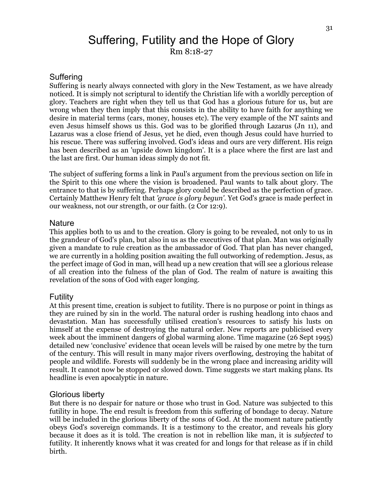# Suffering, Futility and the Hope of Glory Rm 8:18-27

#### Suffering

Suffering is nearly always connected with glory in the New Testament, as we have already noticed. It is simply not scriptural to identify the Christian life with a worldly perception of glory. Teachers are right when they tell us that God has a glorious future for us, but are wrong when they then imply that this consists in the ability to have faith for anything we desire in material terms (cars, money, houses etc). The very example of the NT saints and even Jesus himself shows us this. God was to be glorified through Lazarus (Jn 11), and Lazarus was a close friend of Jesus, yet he died, even though Jesus could have hurried to his rescue. There was suffering involved. God's ideas and ours are very different. His reign has been described as an 'upside down kingdom'. It is a place where the first are last and the last are first. Our human ideas simply do not fit.

The subject of suffering forms a link in Paul's argument from the previous section on life in the Spirit to this one where the vision is broadened. Paul wants to talk about glory. The entrance to that is by suffering. Perhaps glory could be described as the perfection of grace. Certainly Matthew Henry felt that *'grace is glory begun'.* Yet God's grace is made perfect in our weakness, not our strength, or our faith. (2 Cor 12:9).

#### **Nature**

This applies both to us and to the creation. Glory is going to be revealed, not only to us in the grandeur of God's plan, but also in us as the executives of that plan. Man was originally given a mandate to rule creation as the ambassador of God. That plan has never changed, we are currently in a holding position awaiting the full outworking of redemption. Jesus, as the perfect image of God in man, will head up a new creation that will see a glorious release of all creation into the fulness of the plan of God. The realm of nature is awaiting this revelation of the sons of God with eager longing.

#### Futility

At this present time, creation is subject to futility. There is no purpose or point in things as they are ruined by sin in the world. The natural order is rushing headlong into chaos and devastation. Man has successfully utilised creation's resources to satisfy his lusts on himself at the expense of destroying the natural order. New reports are publicised every week about the imminent dangers of global warming alone. Time magazine (26 Sept 1995) detailed new 'conclusive' evidence that ocean levels will be raised by one metre by the turn of the century. This will result in many major rivers overflowing, destroying the habitat of people and wildlife. Forests will suddenly be in the wrong place and increasing aridity will result. It cannot now be stopped or slowed down. Time suggests we start making plans. Its headline is even apocalyptic in nature.

#### Glorious liberty

But there is no despair for nature or those who trust in God. Nature was subjected to this futility in hope. The end result is freedom from this suffering of bondage to decay. Nature will be included in the glorious liberty of the sons of God. At the moment nature patiently obeys God's sovereign commands. It is a testimony to the creator, and reveals his glory because it does as it is told. The creation is not in rebellion like man, it is *subjected* to futility. It inherently knows what it was created for and longs for that release as if in child birth.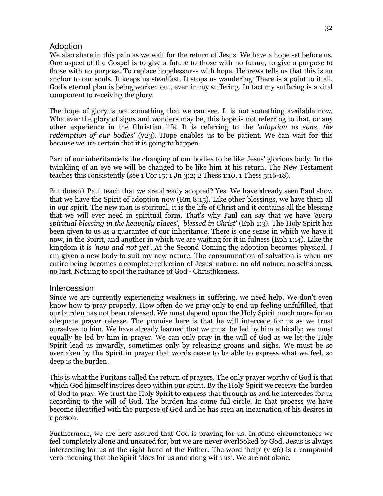## Adoption

We also share in this pain as we wait for the return of Jesus. We have a hope set before us. One aspect of the Gospel is to give a future to those with no future, to give a purpose to those with no purpose. To replace hopelessness with hope. Hebrews tells us that this is an anchor to our souls. It keeps us steadfast. It stops us wandering. There is a point to it all. God's eternal plan is being worked out, even in my suffering. In fact my suffering is a vital component to receiving the glory.

The hope of glory is not something that we can see. It is not something available now. Whatever the glory of signs and wonders may be, this hope is not referring to that, or any other experience in the Christian life. It is referring to the *'adoption as sons, the redemption of our bodies'* (v23). Hope enables us to be patient. We can wait for this because we are certain that it is going to happen.

Part of our inheritance is the changing of our bodies to be like Jesus' glorious body. In the twinkling of an eye we will be changed to be like him at his return. The New Testament teaches this consistently (see 1 Cor 15; 1 Jn 3:2; 2 Thess 1:10, 1 Thess 5:16-18).

But doesn't Paul teach that we are already adopted? Yes. We have already seen Paul show that we have the Spirit of adoption now (Rm 8:15). Like other blessings, we have them all in our spirit. The new man is spiritual, it is the life of Christ and it contains all the blessing that we will ever need in spiritual form. That's why Paul can say that we have *'every spiritual blessing in the heavenly places', 'blessed in Christ'* (Eph 1:3). The Holy Spirit has been given to us as a guarantee of our inheritance. There is one sense in which we have it now, in the Spirit, and another in which we are waiting for it in fulness (Eph 1:14). Like the kingdom it is *'now and not yet'*. At the Second Coming the adoption becomes physical. I am given a new body to suit my new nature. The consummation of salvation is when my entire being becomes a complete reflection of Jesus' nature: no old nature, no selfishness, no lust. Nothing to spoil the radiance of God - Christlikeness.

### Intercession

Since we are currently experiencing weakness in suffering, we need help. We don't even know how to pray properly. How often do we pray only to end up feeling unfulfilled, that our burden has not been released. We must depend upon the Holy Spirit much more for an adequate prayer release. The promise here is that he will intercede for us as we trust ourselves to him. We have already learned that we must be led by him ethically; we must equally be led by him in prayer. We can only pray in the will of God as we let the Holy Spirit lead us inwardly, sometimes only by releasing groans and sighs. We must be so overtaken by the Spirit in prayer that words cease to be able to express what we feel, so deep is the burden.

This is what the Puritans called the return of prayers. The only prayer worthy of God is that which God himself inspires deep within our spirit. By the Holy Spirit we receive the burden of God to pray. We trust the Holy Spirit to express that through us and he intercedes for us according to the will of God. The burden has come full circle. In that process we have become identified with the purpose of God and he has seen an incarnation of his desires in a person.

Furthermore, we are here assured that God is praying for us. In some circumstances we feel completely alone and uncared for, but we are never overlooked by God. Jesus is always interceding for us at the right hand of the Father. The word 'help' (v 26) is a compound verb meaning that the Spirit 'does for us and along with us'. We are not alone.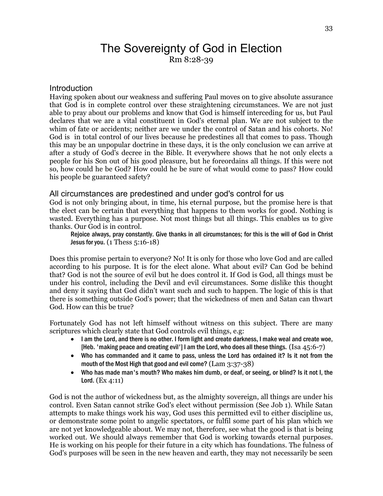# The Sovereignty of God in Election Rm 8:28-39

#### Introduction

Having spoken about our weakness and suffering Paul moves on to give absolute assurance that God is in complete control over these straightening circumstances. We are not just able to pray about our problems and know that God is himself interceding for us, but Paul declares that we are a vital constituent in God's eternal plan. We are not subject to the whim of fate or accidents; neither are we under the control of Satan and his cohorts. No! God is in total control of our lives because he predestines all that comes to pass. Though this may be an unpopular doctrine in these days, it is the only conclusion we can arrive at after a study of God's decree in the Bible. It everywhere shows that he not only elects a people for his Son out of his good pleasure, but he foreordains all things. If this were not so, how could he be God? How could he be sure of what would come to pass? How could his people be guaranteed safety?

#### All circumstances are predestined and under god's control for us

God is not only bringing about, in time, his eternal purpose, but the promise here is that the elect can be certain that everything that happens to them works for good. Nothing is wasted. Everything has a purpose. Not most things but all things. This enables us to give thanks. Our God is in control.

Rejoice always, pray constantly. Give thanks in all circumstances; for this is the will of God in Christ Jesus for you.  $(1 \text{ Thess } 5:16-18)$ 

Does this promise pertain to everyone? No! It is only for those who love God and are called according to his purpose. It is for the elect alone. What about evil? Can God be behind that? God is not the source of evil but he does control it. If God is God, all things must be under his control, including the Devil and evil circumstances. Some dislike this thought and deny it saying that God didn't want such and such to happen. The logic of this is that there is something outside God's power; that the wickedness of men and Satan can thwart God. How can this be true?

Fortunately God has not left himself without witness on this subject. There are many scriptures which clearly state that God controls evil things, e.g:

- I am the Lord, and there is no other. I form light and create darkness, I make weal and create woe, [Heb. 'making peace and creating evil'] I am the Lord, who does all these things. (Isa  $45:6-7$ )
- Who has commanded and it came to pass, unless the Lord has ordained it? Is it not from the mouth of the Most High that good and evil come? (Lam 3:37-38)
- Who has made man's mouth? Who makes him dumb, or deaf, or seeing, or blind? Is it not I, the Lord. (Ex 4:11)

God is not the author of wickedness but, as the almighty sovereign, all things are under his control. Even Satan cannot strike God's elect without permission (See Job 1). While Satan attempts to make things work his way, God uses this permitted evil to either discipline us, or demonstrate some point to angelic spectators, or fulfil some part of his plan which we are not yet knowledgeable about. We may not, therefore, see what the good is that is being worked out. We should always remember that God is working towards eternal purposes. He is working on his people for their future in a city which has foundations. The fulness of God's purposes will be seen in the new heaven and earth, they may not necessarily be seen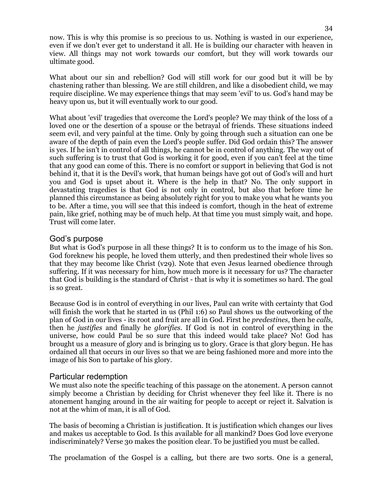now. This is why this promise is so precious to us. Nothing is wasted in our experience, even if we don't ever get to understand it all. He is building our character with heaven in view. All things may not work towards our comfort, but they will work towards our ultimate good.

What about our sin and rebellion? God will still work for our good but it will be by chastening rather than blessing. We are still children, and like a disobedient child, we may require discipline. We may experience things that may seem 'evil' to us. God's hand may be heavy upon us, but it will eventually work to our good.

What about 'evil' tragedies that overcome the Lord's people? We may think of the loss of a loved one or the desertion of a spouse or the betrayal of friends. These situations indeed seem evil, and very painful at the time. Only by going through such a situation can one be aware of the depth of pain even the Lord's people suffer. Did God ordain this? The answer is yes. If he isn't in control of all things, he cannot be in control of anything. The way out of such suffering is to trust that God is working it for good, even if you can't feel at the time that any good can come of this. There is no comfort or support in believing that God is not behind it, that it is the Devil's work, that human beings have got out of God's will and hurt you and God is upset about it. Where is the help in that? No. The only support in devastating tragedies is that God is not only in control, but also that before time he planned this circumstance as being absolutely right for you to make you what he wants you to be. After a time, you will see that this indeed is comfort, though in the heat of extreme pain, like grief, nothing may be of much help. At that time you must simply wait, and hope. Trust will come later.

### God's purpose

But what is God's purpose in all these things? It is to conform us to the image of his Son. God foreknew his people, he loved them utterly, and then predestined their whole lives so that they may become like Christ (v29). Note that even Jesus learned obedience through suffering. If it was necessary for him, how much more is it necessary for us? The character that God is building is the standard of Christ - that is why it is sometimes so hard. The goal is so great.

Because God is in control of everything in our lives, Paul can write with certainty that God will finish the work that he started in us (Phil 1:6) so Paul shows us the outworking of the plan of God in our lives - its root and fruit are all in God. First he *predestines,* then he *calls,* then he *justifies* and finally he *glorifies.* If God is not in control of everything in the universe, how could Paul be so sure that this indeed would take place? No! God has brought us a measure of glory and is bringing us to glory. Grace is that glory begun. He has ordained all that occurs in our lives so that we are being fashioned more and more into the image of his Son to partake of his glory.

### Particular redemption

We must also note the specific teaching of this passage on the atonement. A person cannot simply become a Christian by deciding for Christ whenever they feel like it. There is no atonement hanging around in the air waiting for people to accept or reject it. Salvation is not at the whim of man, it is all of God.

The basis of becoming a Christian is justification. It is justification which changes our lives and makes us acceptable to God. Is this available for all mankind? Does God love everyone indiscriminately? Verse 30 makes the position clear. To be justified you must be called.

The proclamation of the Gospel is a calling, but there are two sorts. One is a general,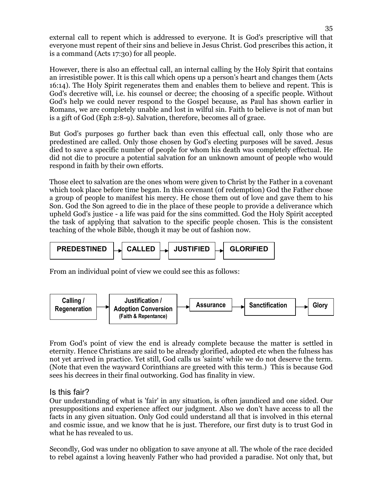external call to repent which is addressed to everyone. It is God's prescriptive will that everyone must repent of their sins and believe in Jesus Christ. God prescribes this action, it is a command (Acts 17:30) for all people.

However, there is also an effectual call, an internal calling by the Holy Spirit that contains an irresistible power. It is this call which opens up a person's heart and changes them (Acts 16:14). The Holy Spirit regenerates them and enables them to believe and repent. This is God's decretive will, i.e. his counsel or decree; the choosing of a specific people. Without God's help we could never respond to the Gospel because, as Paul has shown earlier in Romans, we are completely unable and lost in wilful sin. Faith to believe is not of man but is a gift of God (Eph 2:8-9). Salvation, therefore, becomes all of grace.

But God's purposes go further back than even this effectual call, only those who are predestined are called. Only those chosen by God's electing purposes will be saved. Jesus died to save a specific number of people for whom his death was completely effectual. He did not die to procure a potential salvation for an unknown amount of people who would respond in faith by their own efforts.

Those elect to salvation are the ones whom were given to Christ by the Father in a covenant which took place before time began. In this covenant (of redemption) God the Father chose a group of people to manifest his mercy. He chose them out of love and gave them to his Son. God the Son agreed to die in the place of these people to provide a deliverance which upheld God's justice - a life was paid for the sins committed. God the Holy Spirit accepted the task of applying that salvation to the specific people chosen. This is the consistent teaching of the whole Bible, though it may be out of fashion now.



From an individual point of view we could see this as follows:



From God's point of view the end is already complete because the matter is settled in eternity. Hence Christians are said to be already glorified, adopted etc when the fulness has not yet arrived in practice. Yet still, God calls us 'saints' while we do not deserve the term. (Note that even the wayward Corinthians are greeted with this term.) This is because God sees his decrees in their final outworking. God has finality in view.

## Is this fair?

Our understanding of what is 'fair' in any situation, is often jaundiced and one sided. Our presuppositions and experience affect our judgment. Also we don't have access to all the facts in any given situation. Only God could understand all that is involved in this eternal and cosmic issue, and we know that he is just. Therefore, our first duty is to trust God in what he has revealed to us.

Secondly, God was under no obligation to save anyone at all. The whole of the race decided to rebel against a loving heavenly Father who had provided a paradise. Not only that, but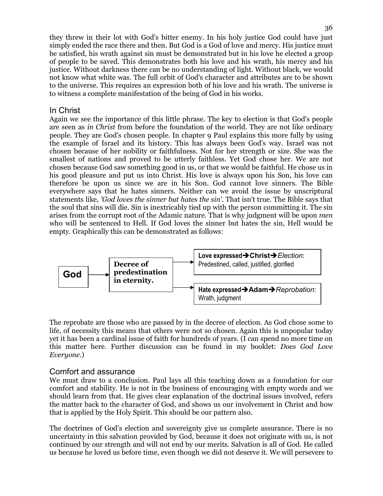they threw in their lot with God's bitter enemy. In his holy justice God could have just simply ended the race there and then. But God is a God of love and mercy. His justice must be satisfied, his wrath against sin must be demonstrated but in his love he elected a group of people to be saved. This demonstrates both his love and his wrath, his mercy and his justice. Without darkness there can be no understanding of light. Without black, we would not know what white was. The full orbit of God's character and attributes are to be shown to the universe. This requires an expression both of his love and his wrath. The universe is to witness a complete manifestation of the being of God in his works.

## In Christ

Again we see the importance of this little phrase. The key to election is that God's people are seen as *in Christ* from before the foundation of the world. They are not like ordinary people. They are God's chosen people. In chapter 9 Paul explains this more fully by using the example of Israel and its history. This has always been God's way. Israel was not chosen because of her nobility or faithfulness. Not for her strength or size. She was the smallest of nations and proved to be utterly faithless. Yet God chose her. We are not chosen because God saw something good in us, or that we would be faithful. He chose us in his good pleasure and put us into Christ. His love is always upon his Son, his love can therefore be upon us since we are in his Son. God cannot love sinners. The Bible everywhere says that he hates sinners. Neither can we avoid the issue by unscriptural statements like, *'God loves the sinner but hates the sin'.* That isn't true. The Bible says that the soul that sins will die. Sin is inextricably tied up with the person committing it. The sin arises from the corrupt root of the Adamic nature. That is why judgment will be upon *men* who will be sentenced to Hell. If God loves the sinner but hates the sin, Hell would be empty. Graphically this can be demonstrated as follows:



The reprobate are those who are passed by in the decree of election. As God chose some to life, of necessity this means that others were not so chosen. Again this is unpopular today yet it has been a cardinal issue of faith for hundreds of years. (I can spend no more time on this matter here. Further discussion can be found in my booklet: *Does God Love Everyone*.)

### Comfort and assurance

We must draw to a conclusion. Paul lays all this teaching down as a foundation for our comfort and stability. He is not in the business of encouraging with empty words and we should learn from that. He gives clear explanation of the doctrinal issues involved, refers the matter back to the character of God, and shows us our involvement in Christ and how that is applied by the Holy Spirit. This should be our pattern also.

The doctrines of God's election and sovereignty give us complete assurance. There is no uncertainty in this salvation provided by God, because it does not originate with us, is not continued by our strength and will not end by our merits. Salvation is all of God. He called us because he loved us before time, even though we did not deserve it. We will persevere to